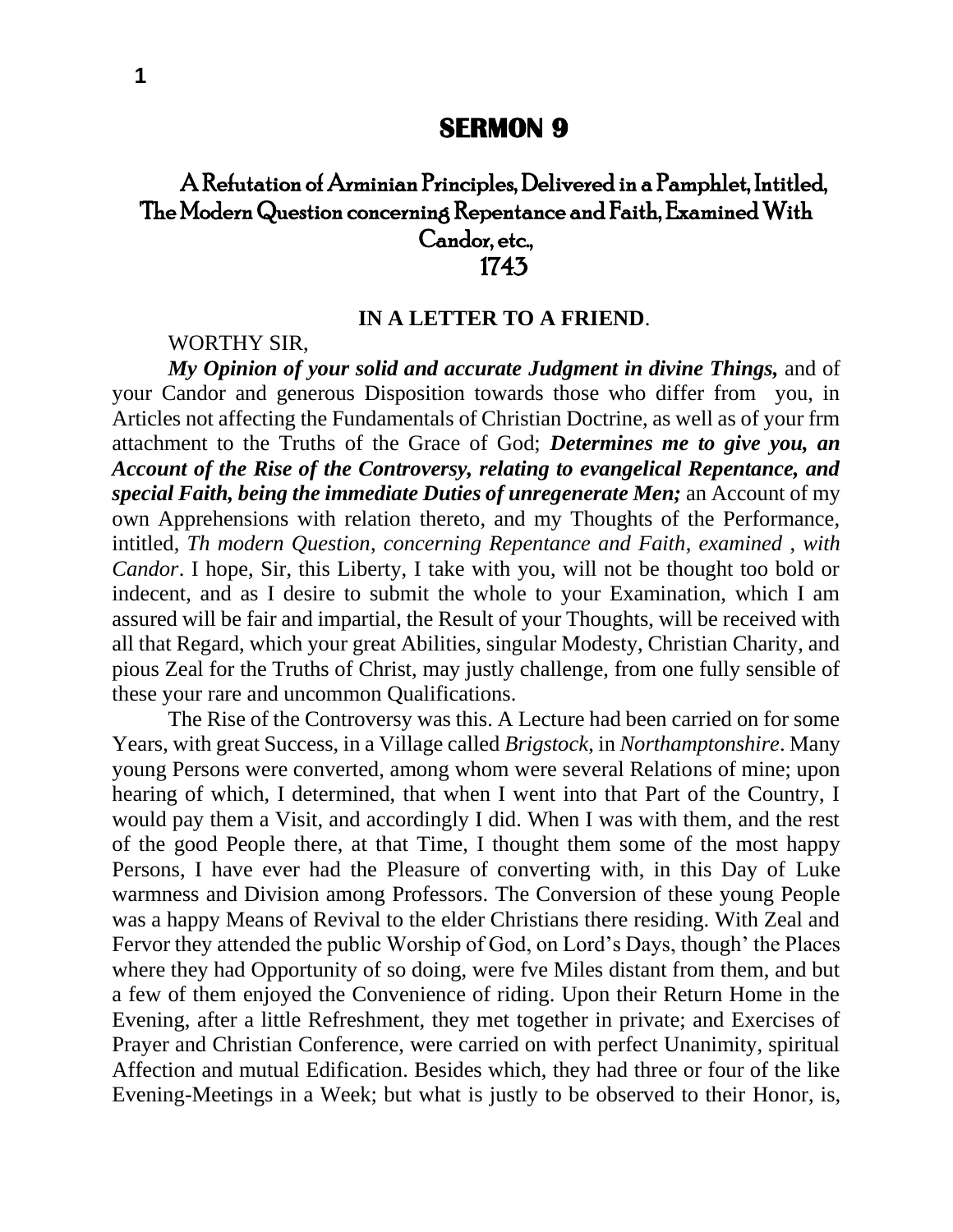## **SERMON 9**

## A Refutation of Arminian Principles, Delivered in a Pamphlet, Intitled, 'The Modern Question concerning Repentance and Faith, Examined With Candor, etc., 1743

## **IN A LETTER TO A FRIEND**.

WORTHY SIR,

*My Opinion of your solid and accurate Judgment in divine Things,* and of your Candor and generous Disposition towards those who differ from you, in Articles not affecting the Fundamentals of Christian Doctrine, as well as of your frm attachment to the Truths of the Grace of God; *Determines me to give you, an Account of the Rise of the Controversy, relating to evangelical Repentance, and special Faith, being the immediate Duties of unregenerate Men;* an Account of my own Apprehensions with relation thereto, and my Thoughts of the Performance, intitled, *Th modern Question*, *concerning Repentance and Faith*, *examined* , *with Candor*. I hope, Sir, this Liberty, I take with you, will not be thought too bold or indecent, and as I desire to submit the whole to your Examination, which I am assured will be fair and impartial, the Result of your Thoughts, will be received with all that Regard, which your great Abilities, singular Modesty, Christian Charity, and pious Zeal for the Truths of Christ, may justly challenge, from one fully sensible of these your rare and uncommon Qualifications.

The Rise of the Controversy was this. A Lecture had been carried on for some Years, with great Success, in a Village called *Brigstock*, in *Northamptonshire*. Many young Persons were converted, among whom were several Relations of mine; upon hearing of which, I determined, that when I went into that Part of the Country, I would pay them a Visit, and accordingly I did. When I was with them, and the rest of the good People there, at that Time, I thought them some of the most happy Persons, I have ever had the Pleasure of converting with, in this Day of Luke warmness and Division among Professors. The Conversion of these young People was a happy Means of Revival to the elder Christians there residing. With Zeal and Fervor they attended the public Worship of God, on Lord's Days, though' the Places where they had Opportunity of so doing, were fve Miles distant from them, and but a few of them enjoyed the Convenience of riding. Upon their Return Home in the Evening, after a little Refreshment, they met together in private; and Exercises of Prayer and Christian Conference, were carried on with perfect Unanimity, spiritual Affection and mutual Edification. Besides which, they had three or four of the like Evening-Meetings in a Week; but what is justly to be observed to their Honor, is,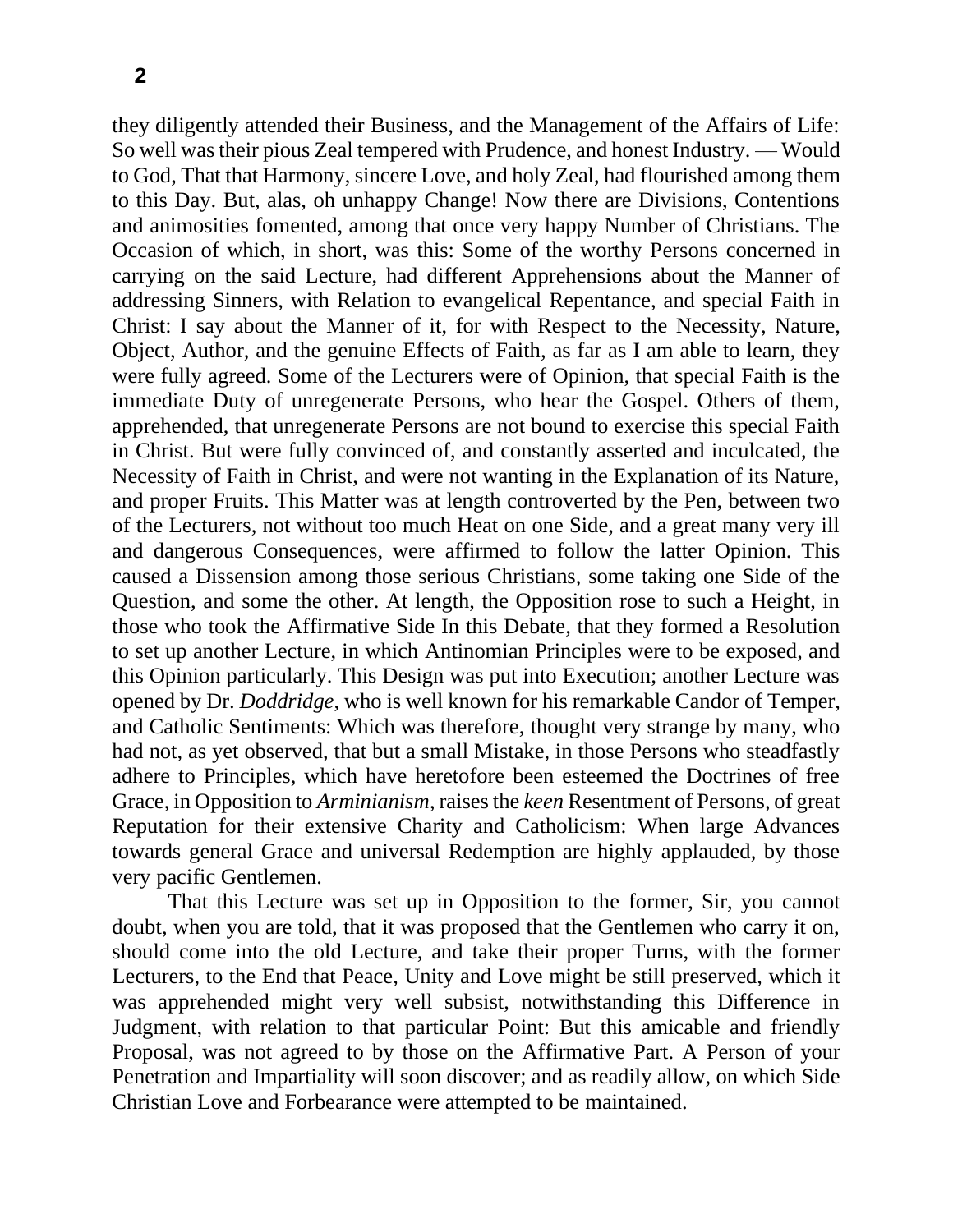they diligently attended their Business, and the Management of the Affairs of Life: So well was their pious Zeal tempered with Prudence, and honest Industry. — Would to God, That that Harmony, sincere Love, and holy Zeal, had flourished among them to this Day. But, alas, oh unhappy Change! Now there are Divisions, Contentions and animosities fomented, among that once very happy Number of Christians. The Occasion of which, in short, was this: Some of the worthy Persons concerned in carrying on the said Lecture, had different Apprehensions about the Manner of addressing Sinners, with Relation to evangelical Repentance, and special Faith in Christ: I say about the Manner of it, for with Respect to the Necessity, Nature, Object, Author, and the genuine Effects of Faith, as far as I am able to learn, they were fully agreed. Some of the Lecturers were of Opinion, that special Faith is the immediate Duty of unregenerate Persons, who hear the Gospel. Others of them, apprehended, that unregenerate Persons are not bound to exercise this special Faith in Christ. But were fully convinced of, and constantly asserted and inculcated, the Necessity of Faith in Christ, and were not wanting in the Explanation of its Nature, and proper Fruits. This Matter was at length controverted by the Pen, between two of the Lecturers, not without too much Heat on one Side, and a great many very ill and dangerous Consequences, were affirmed to follow the latter Opinion. This caused a Dissension among those serious Christians, some taking one Side of the Question, and some the other. At length, the Opposition rose to such a Height, in those who took the Affirmative Side In this Debate, that they formed a Resolution to set up another Lecture, in which Antinomian Principles were to be exposed, and this Opinion particularly. This Design was put into Execution; another Lecture was opened by Dr. *Doddridge*, who is well known for his remarkable Candor of Temper, and Catholic Sentiments: Which was therefore, thought very strange by many, who had not, as yet observed, that but a small Mistake, in those Persons who steadfastly adhere to Principles, which have heretofore been esteemed the Doctrines of free Grace, in Opposition to *Arminianism*, raises the *keen* Resentment of Persons, of great Reputation for their extensive Charity and Catholicism: When large Advances towards general Grace and universal Redemption are highly applauded, by those very pacific Gentlemen.

That this Lecture was set up in Opposition to the former, Sir, you cannot doubt, when you are told, that it was proposed that the Gentlemen who carry it on, should come into the old Lecture, and take their proper Turns, with the former Lecturers, to the End that Peace, Unity and Love might be still preserved, which it was apprehended might very well subsist, notwithstanding this Difference in Judgment, with relation to that particular Point: But this amicable and friendly Proposal, was not agreed to by those on the Affirmative Part. A Person of your Penetration and Impartiality will soon discover; and as readily allow, on which Side Christian Love and Forbearance were attempted to be maintained.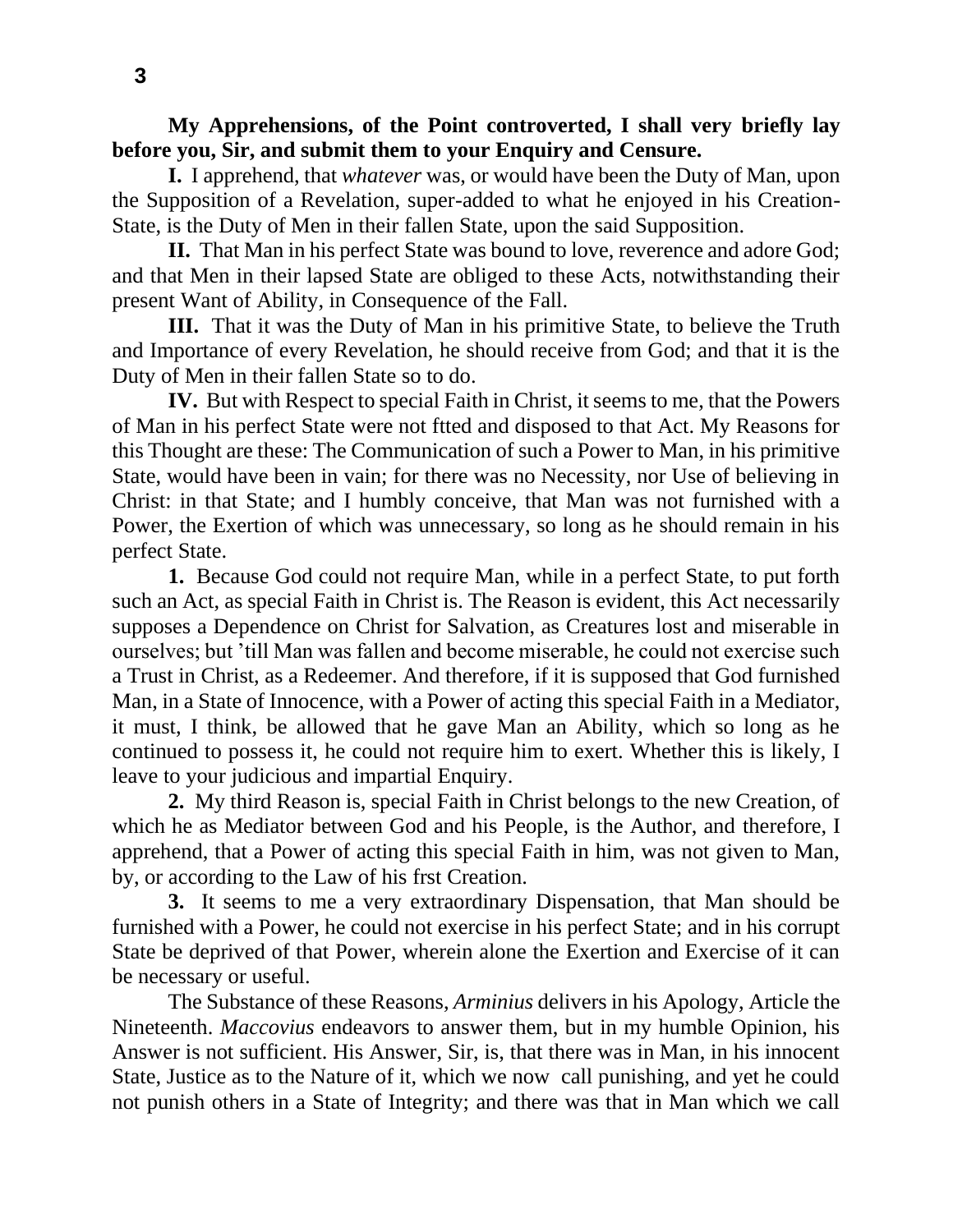**My Apprehensions, of the Point controverted, I shall very briefly lay before you, Sir, and submit them to your Enquiry and Censure.**

**I.** I apprehend, that *whatever* was, or would have been the Duty of Man, upon the Supposition of a Revelation, super-added to what he enjoyed in his Creation-State, is the Duty of Men in their fallen State, upon the said Supposition.

**II.** That Man in his perfect State was bound to love, reverence and adore God; and that Men in their lapsed State are obliged to these Acts, notwithstanding their present Want of Ability, in Consequence of the Fall.

**III.** That it was the Duty of Man in his primitive State, to believe the Truth and Importance of every Revelation, he should receive from God; and that it is the Duty of Men in their fallen State so to do.

**IV.** But with Respect to special Faith in Christ, it seems to me, that the Powers of Man in his perfect State were not ftted and disposed to that Act. My Reasons for this Thought are these: The Communication of such a Power to Man, in his primitive State, would have been in vain; for there was no Necessity, nor Use of believing in Christ: in that State; and I humbly conceive, that Man was not furnished with a Power, the Exertion of which was unnecessary, so long as he should remain in his perfect State.

**1.** Because God could not require Man, while in a perfect State, to put forth such an Act, as special Faith in Christ is. The Reason is evident, this Act necessarily supposes a Dependence on Christ for Salvation, as Creatures lost and miserable in ourselves; but 'till Man was fallen and become miserable, he could not exercise such a Trust in Christ, as a Redeemer. And therefore, if it is supposed that God furnished Man, in a State of Innocence, with a Power of acting this special Faith in a Mediator, it must, I think, be allowed that he gave Man an Ability, which so long as he continued to possess it, he could not require him to exert. Whether this is likely, I leave to your judicious and impartial Enquiry.

**2.** My third Reason is, special Faith in Christ belongs to the new Creation, of which he as Mediator between God and his People, is the Author, and therefore, I apprehend, that a Power of acting this special Faith in him, was not given to Man, by, or according to the Law of his frst Creation.

**3.** It seems to me a very extraordinary Dispensation, that Man should be furnished with a Power, he could not exercise in his perfect State; and in his corrupt State be deprived of that Power, wherein alone the Exertion and Exercise of it can be necessary or useful.

The Substance of these Reasons, *Arminius* delivers in his Apology, Article the Nineteenth. *Maccovius* endeavors to answer them, but in my humble Opinion, his Answer is not sufficient. His Answer, Sir, is, that there was in Man, in his innocent State, Justice as to the Nature of it, which we now call punishing, and yet he could not punish others in a State of Integrity; and there was that in Man which we call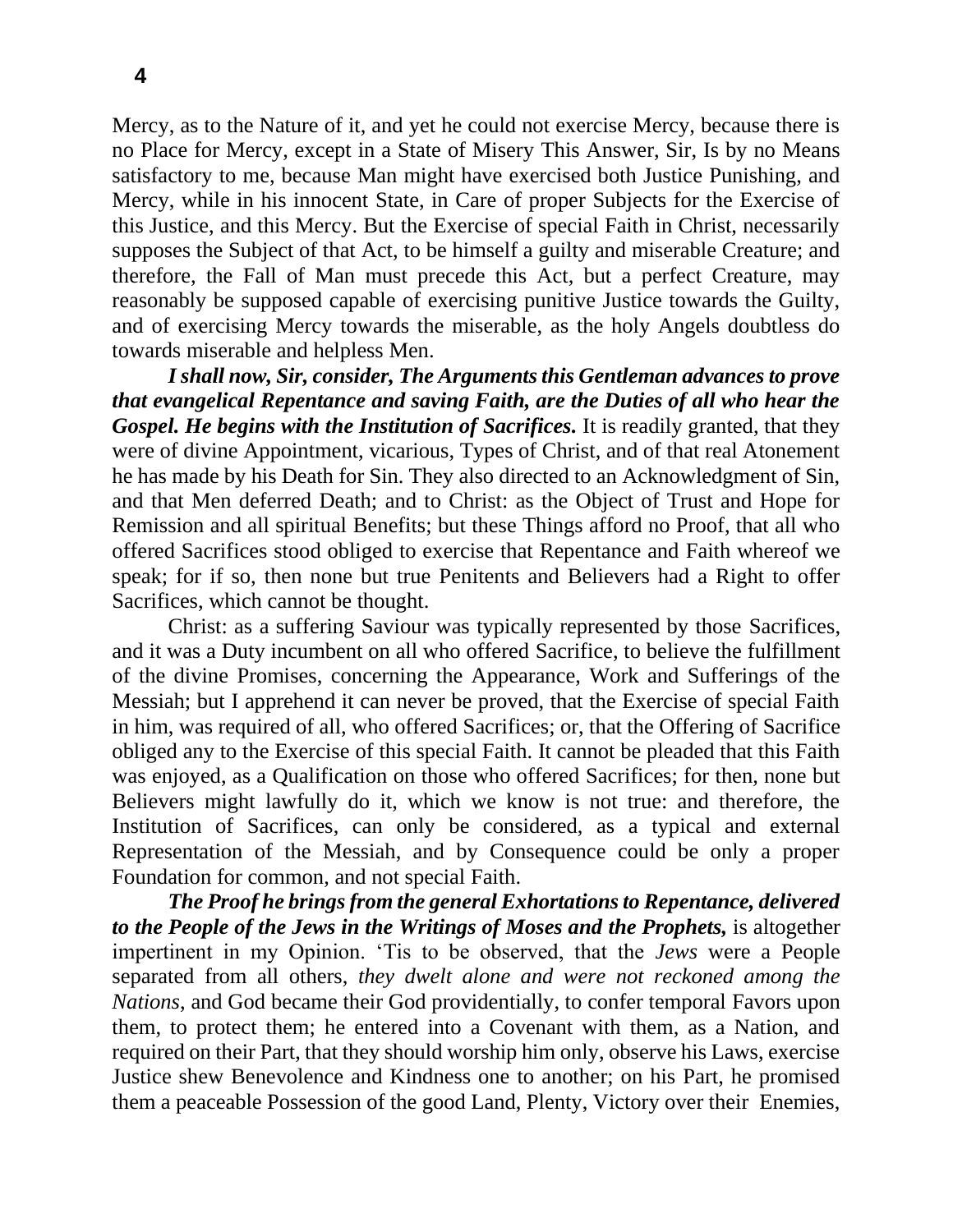**4**

Mercy, as to the Nature of it, and yet he could not exercise Mercy, because there is no Place for Mercy, except in a State of Misery This Answer, Sir, Is by no Means satisfactory to me, because Man might have exercised both Justice Punishing, and Mercy, while in his innocent State, in Care of proper Subjects for the Exercise of this Justice, and this Mercy. But the Exercise of special Faith in Christ, necessarily supposes the Subject of that Act, to be himself a guilty and miserable Creature; and therefore, the Fall of Man must precede this Act, but a perfect Creature, may reasonably be supposed capable of exercising punitive Justice towards the Guilty, and of exercising Mercy towards the miserable, as the holy Angels doubtless do towards miserable and helpless Men.

*I shall now, Sir, consider, The Arguments this Gentleman advances to prove that evangelical Repentance and saving Faith, are the Duties of all who hear the Gospel. He begins with the Institution of Sacrifices.* It is readily granted, that they were of divine Appointment, vicarious, Types of Christ, and of that real Atonement he has made by his Death for Sin. They also directed to an Acknowledgment of Sin, and that Men deferred Death; and to Christ: as the Object of Trust and Hope for Remission and all spiritual Benefits; but these Things afford no Proof, that all who offered Sacrifices stood obliged to exercise that Repentance and Faith whereof we speak; for if so, then none but true Penitents and Believers had a Right to offer Sacrifices, which cannot be thought.

Christ: as a suffering Saviour was typically represented by those Sacrifices, and it was a Duty incumbent on all who offered Sacrifice, to believe the fulfillment of the divine Promises, concerning the Appearance, Work and Sufferings of the Messiah; but I apprehend it can never be proved, that the Exercise of special Faith in him, was required of all, who offered Sacrifices; or, that the Offering of Sacrifice obliged any to the Exercise of this special Faith. It cannot be pleaded that this Faith was enjoyed, as a Qualification on those who offered Sacrifices; for then, none but Believers might lawfully do it, which we know is not true: and therefore, the Institution of Sacrifices, can only be considered, as a typical and external Representation of the Messiah, and by Consequence could be only a proper Foundation for common, and not special Faith.

*The Proof he brings from the general Exhortations to Repentance, delivered to the People of the Jews in the Writings of Moses and the Prophets,* is altogether impertinent in my Opinion. 'Tis to be observed, that the *Jews* were a People separated from all others, *they dwelt alone and were not reckoned among the Nations*, and God became their God providentially, to confer temporal Favors upon them, to protect them; he entered into a Covenant with them, as a Nation, and required on their Part, that they should worship him only, observe his Laws, exercise Justice shew Benevolence and Kindness one to another; on his Part, he promised them a peaceable Possession of the good Land, Plenty, Victory over their Enemies,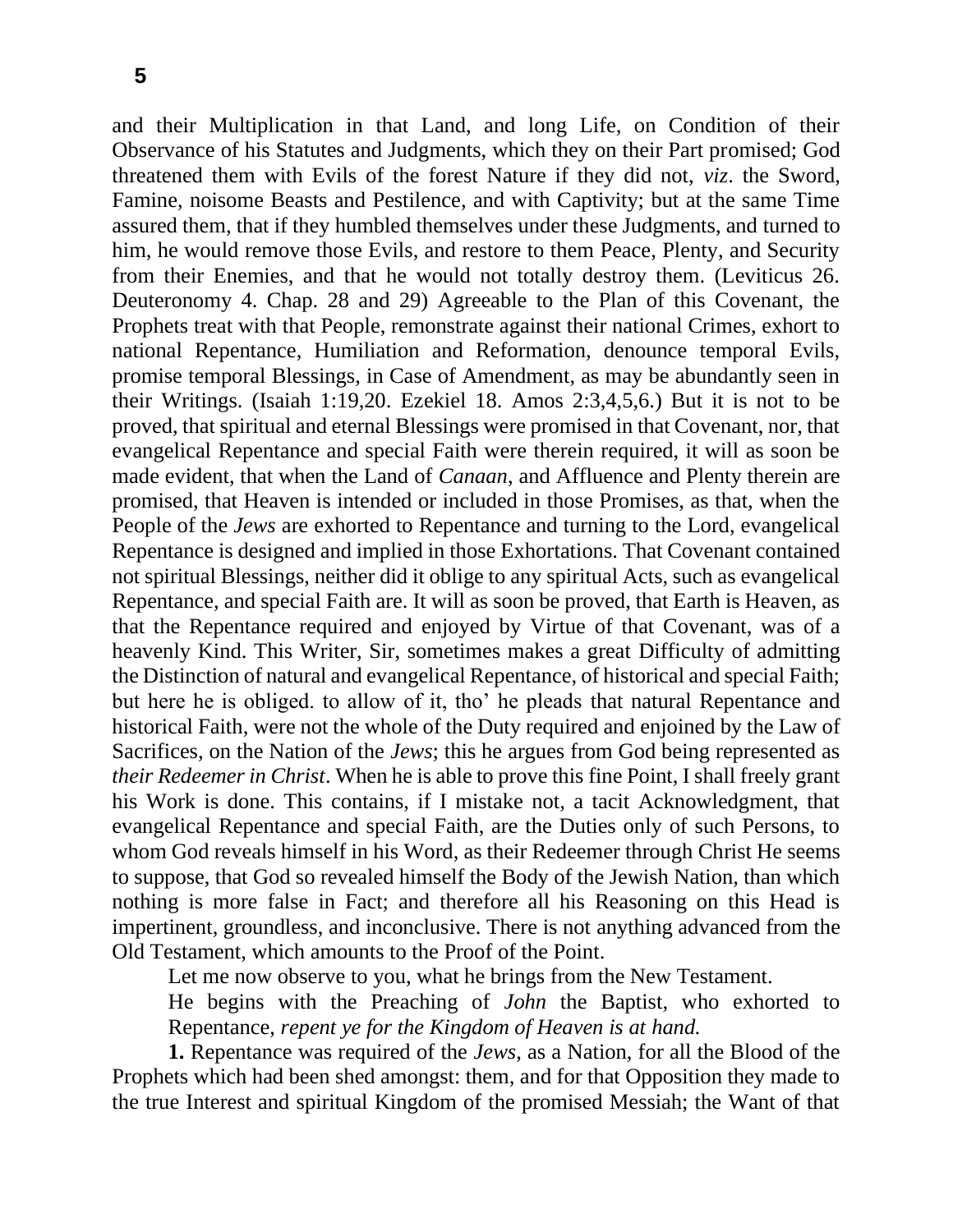and their Multiplication in that Land, and long Life, on Condition of their Observance of his Statutes and Judgments, which they on their Part promised; God threatened them with Evils of the forest Nature if they did not, *viz*. the Sword, Famine, noisome Beasts and Pestilence, and with Captivity; but at the same Time assured them, that if they humbled themselves under these Judgments, and turned to him, he would remove those Evils, and restore to them Peace, Plenty, and Security from their Enemies, and that he would not totally destroy them. (Leviticus 26. Deuteronomy 4. Chap. 28 and 29) Agreeable to the Plan of this Covenant, the Prophets treat with that People, remonstrate against their national Crimes, exhort to national Repentance, Humiliation and Reformation, denounce temporal Evils, promise temporal Blessings, in Case of Amendment, as may be abundantly seen in their Writings. (Isaiah 1:19,20. Ezekiel 18. Amos 2:3,4,5,6.) But it is not to be proved, that spiritual and eternal Blessings were promised in that Covenant, nor, that evangelical Repentance and special Faith were therein required, it will as soon be made evident, that when the Land of *Canaan*, and Affluence and Plenty therein are promised, that Heaven is intended or included in those Promises, as that, when the People of the *Jews* are exhorted to Repentance and turning to the Lord, evangelical Repentance is designed and implied in those Exhortations. That Covenant contained not spiritual Blessings, neither did it oblige to any spiritual Acts, such as evangelical Repentance, and special Faith are. It will as soon be proved, that Earth is Heaven, as that the Repentance required and enjoyed by Virtue of that Covenant, was of a heavenly Kind. This Writer, Sir, sometimes makes a great Difficulty of admitting the Distinction of natural and evangelical Repentance, of historical and special Faith; but here he is obliged. to allow of it, tho' he pleads that natural Repentance and historical Faith, were not the whole of the Duty required and enjoined by the Law of Sacrifices, on the Nation of the *Jews*; this he argues from God being represented as *their Redeemer in Christ*. When he is able to prove this fine Point, I shall freely grant his Work is done. This contains, if I mistake not, a tacit Acknowledgment, that evangelical Repentance and special Faith, are the Duties only of such Persons, to whom God reveals himself in his Word, as their Redeemer through Christ He seems to suppose, that God so revealed himself the Body of the Jewish Nation, than which nothing is more false in Fact; and therefore all his Reasoning on this Head is impertinent, groundless, and inconclusive. There is not anything advanced from the Old Testament, which amounts to the Proof of the Point.

Let me now observe to you, what he brings from the New Testament.

He begins with the Preaching of *John* the Baptist, who exhorted to Repentance, *repent ye for the Kingdom of Heaven is at hand.*

**1.** Repentance was required of the *Jews*, as a Nation, for all the Blood of the Prophets which had been shed amongst: them, and for that Opposition they made to the true Interest and spiritual Kingdom of the promised Messiah; the Want of that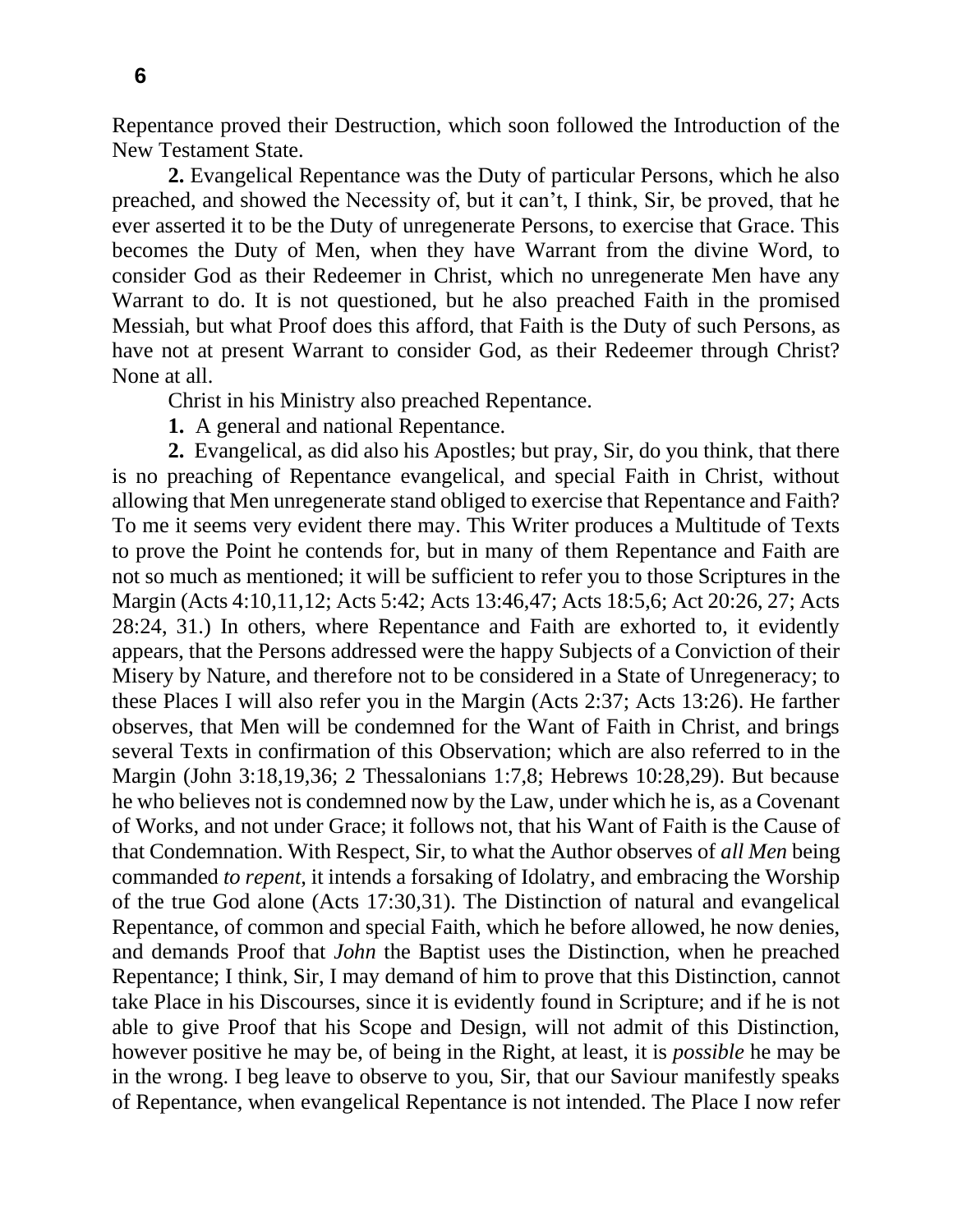Repentance proved their Destruction, which soon followed the Introduction of the New Testament State.

**2.** Evangelical Repentance was the Duty of particular Persons, which he also preached, and showed the Necessity of, but it can't, I think, Sir, be proved, that he ever asserted it to be the Duty of unregenerate Persons, to exercise that Grace. This becomes the Duty of Men, when they have Warrant from the divine Word, to consider God as their Redeemer in Christ, which no unregenerate Men have any Warrant to do. It is not questioned, but he also preached Faith in the promised Messiah, but what Proof does this afford, that Faith is the Duty of such Persons, as have not at present Warrant to consider God, as their Redeemer through Christ? None at all.

Christ in his Ministry also preached Repentance.

**1.** A general and national Repentance.

**2.** Evangelical, as did also his Apostles; but pray, Sir, do you think, that there is no preaching of Repentance evangelical, and special Faith in Christ, without allowing that Men unregenerate stand obliged to exercise that Repentance and Faith? To me it seems very evident there may. This Writer produces a Multitude of Texts to prove the Point he contends for, but in many of them Repentance and Faith are not so much as mentioned; it will be sufficient to refer you to those Scriptures in the Margin (Acts 4:10,11,12; Acts 5:42; Acts 13:46,47; Acts 18:5,6; Act 20:26, 27; Acts 28:24, 31.) In others, where Repentance and Faith are exhorted to, it evidently appears, that the Persons addressed were the happy Subjects of a Conviction of their Misery by Nature, and therefore not to be considered in a State of Unregeneracy; to these Places I will also refer you in the Margin (Acts 2:37; Acts 13:26). He farther observes, that Men will be condemned for the Want of Faith in Christ, and brings several Texts in confirmation of this Observation; which are also referred to in the Margin (John 3:18,19,36; 2 Thessalonians 1:7,8; Hebrews 10:28,29). But because he who believes not is condemned now by the Law, under which he is, as a Covenant of Works, and not under Grace; it follows not, that his Want of Faith is the Cause of that Condemnation. With Respect, Sir, to what the Author observes of *all Men* being commanded *to repent*, it intends a forsaking of Idolatry, and embracing the Worship of the true God alone (Acts 17:30,31). The Distinction of natural and evangelical Repentance, of common and special Faith, which he before allowed, he now denies, and demands Proof that *John* the Baptist uses the Distinction, when he preached Repentance; I think, Sir, I may demand of him to prove that this Distinction, cannot take Place in his Discourses, since it is evidently found in Scripture; and if he is not able to give Proof that his Scope and Design, will not admit of this Distinction, however positive he may be, of being in the Right, at least, it is *possible* he may be in the wrong. I beg leave to observe to you, Sir, that our Saviour manifestly speaks of Repentance, when evangelical Repentance is not intended. The Place I now refer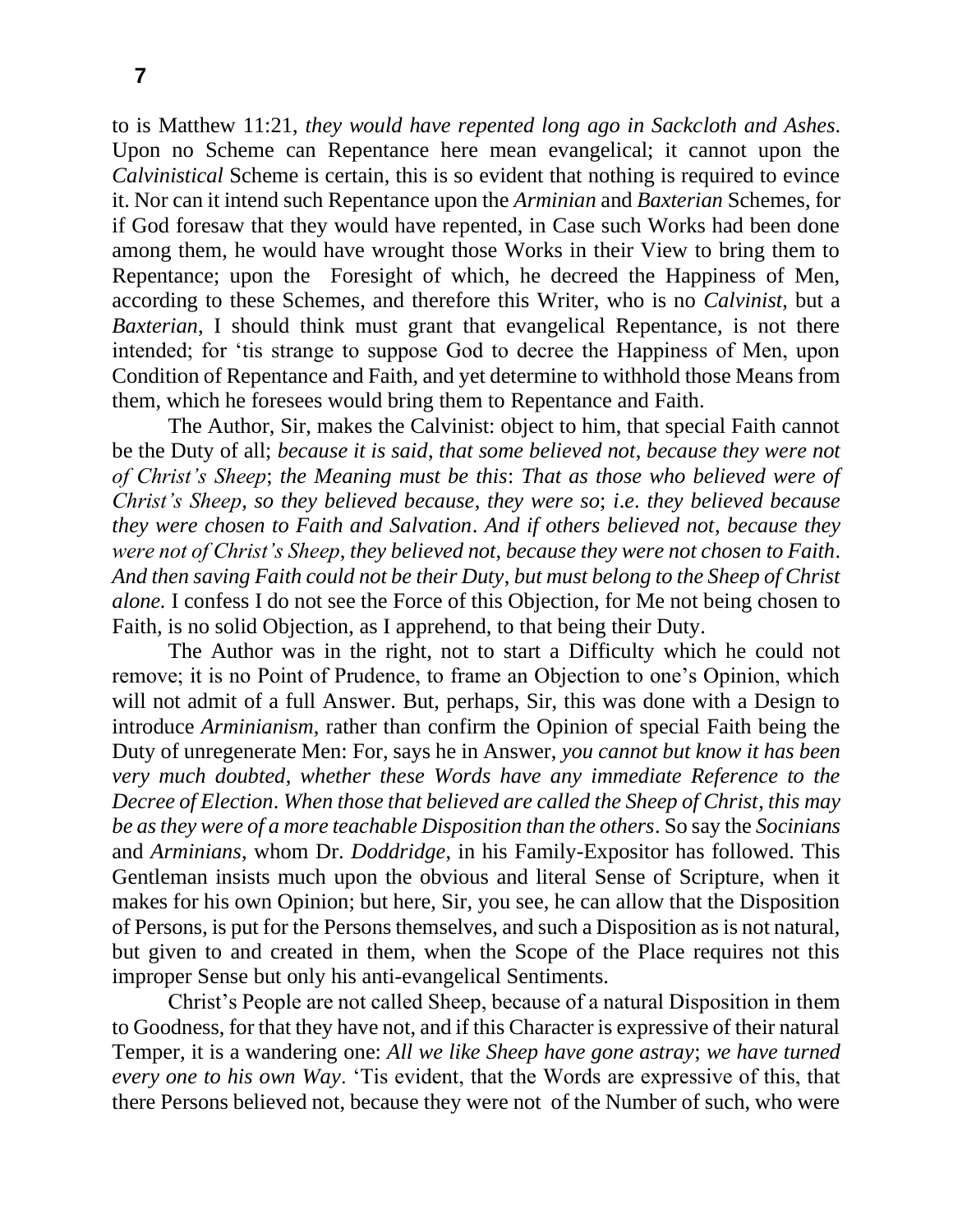to is Matthew 11:21, *they would have repented long ago in Sackcloth and Ashes*. Upon no Scheme can Repentance here mean evangelical; it cannot upon the *Calvinistical* Scheme is certain, this is so evident that nothing is required to evince it. Nor can it intend such Repentance upon the *Arminian* and *Baxterian* Schemes, for if God foresaw that they would have repented, in Case such Works had been done among them, he would have wrought those Works in their View to bring them to Repentance; upon the Foresight of which, he decreed the Happiness of Men, according to these Schemes, and therefore this Writer, who is no *Calvinist*, but a *Baxterian*, I should think must grant that evangelical Repentance, is not there intended; for 'tis strange to suppose God to decree the Happiness of Men, upon Condition of Repentance and Faith, and yet determine to withhold those Means from them, which he foresees would bring them to Repentance and Faith.

The Author, Sir, makes the Calvinist: object to him, that special Faith cannot be the Duty of all; *because it is said*, *that some believed not*, *because they were not of Christ's Sheep*; *the Meaning must be this*: *That as those who believed were of Christ's Sheep*, *so they believed because*, *they were so*; *i*.*e*. *they believed because they were chosen to Faith and Salvation*. *And if others believed not*, *because they were not of Christ's Sheep*, *they believed not*, *because they were not chosen to Faith*. *And then saving Faith could not be their Duty*, *but must belong to the Sheep of Christ alone.* I confess I do not see the Force of this Objection, for Me not being chosen to Faith, is no solid Objection, as I apprehend, to that being their Duty.

The Author was in the right, not to start a Difficulty which he could not remove; it is no Point of Prudence, to frame an Objection to one's Opinion, which will not admit of a full Answer. But, perhaps, Sir, this was done with a Design to introduce *Arminianism*, rather than confirm the Opinion of special Faith being the Duty of unregenerate Men: For, says he in Answer, *you cannot but know it has been very much doubted*, *whether these Words have any immediate Reference to the Decree of Election*. *When those that believed are called the Sheep of Christ*, *this may be as they were of a more teachable Disposition than the others*. So say the *Socinians* and *Arminians*, whom Dr. *Doddridge*, in his Family-Expositor has followed. This Gentleman insists much upon the obvious and literal Sense of Scripture, when it makes for his own Opinion; but here, Sir, you see, he can allow that the Disposition of Persons, is put for the Persons themselves, and such a Disposition as is not natural, but given to and created in them, when the Scope of the Place requires not this improper Sense but only his anti-evangelical Sentiments.

Christ's People are not called Sheep, because of a natural Disposition in them to Goodness, for that they have not, and if this Character is expressive of their natural Temper, it is a wandering one: *All we like Sheep have gone astray*; *we have turned every one to his own Way*. 'Tis evident, that the Words are expressive of this, that there Persons believed not, because they were not of the Number of such, who were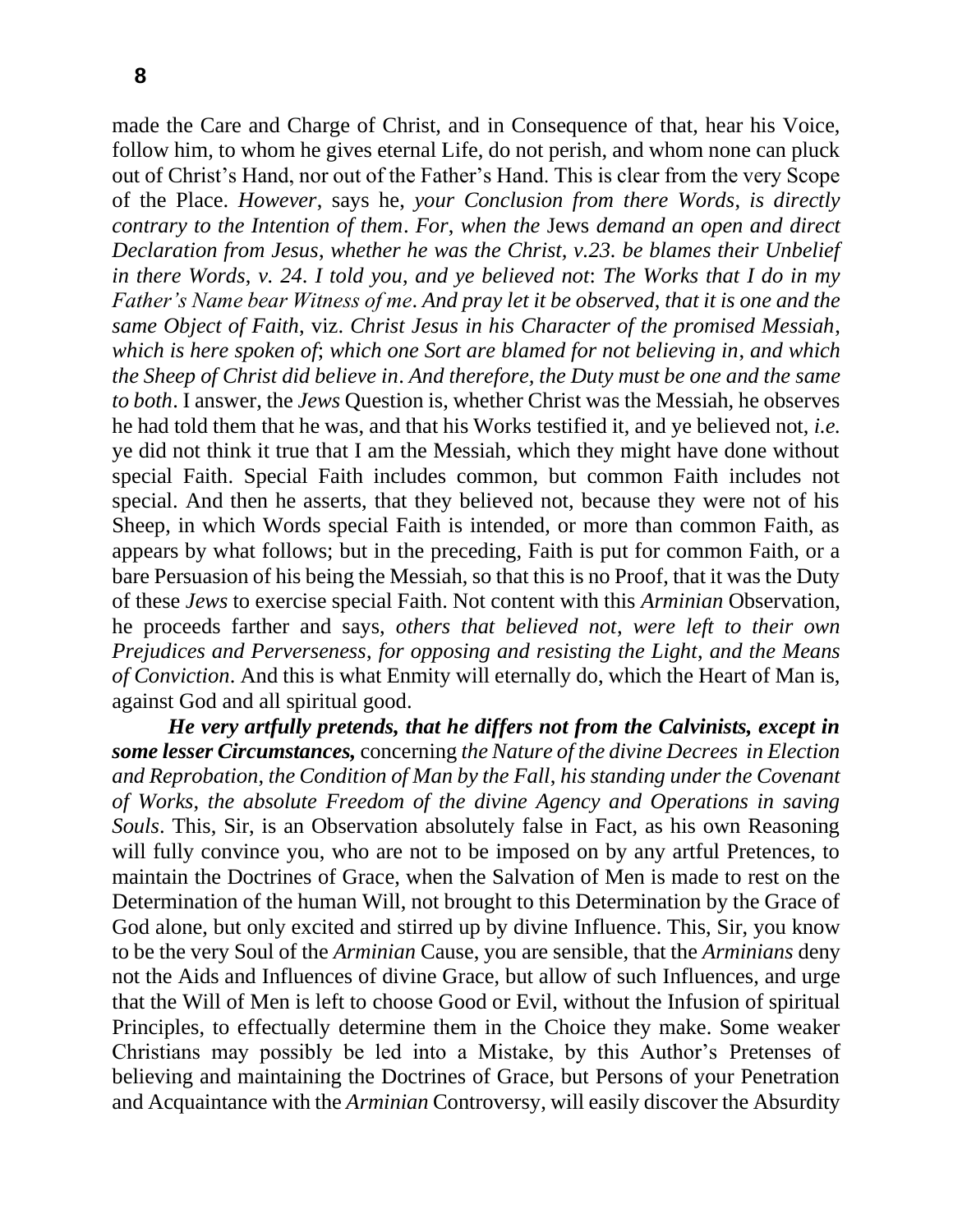made the Care and Charge of Christ, and in Consequence of that, hear his Voice, follow him, to whom he gives eternal Life, do not perish, and whom none can pluck out of Christ's Hand, nor out of the Father's Hand. This is clear from the very Scope of the Place. *However*, says he, *your Conclusion from there Words*, *is directly contrary to the Intention of them*. *For*, *when the* Jews *demand an open and direct Declaration from Jesus*, *whether he was the Christ, v.23. be blames their Unbelief in there Words*, *v. 24*. *I told you*, *and ye believed not*: *The Works that I do in my Father's Name bear Witness of me*. *And pray let it be observed*, *that it is one and the same Object of Faith*, viz. *Christ Jesus in his Character of the promised Messiah*, *which is here spoken of*; *which one Sort are blamed for not believing in*, *and which the Sheep of Christ did believe in*. *And therefore, the Duty must be one and the same to both*. I answer, the *Jews* Question is, whether Christ was the Messiah, he observes he had told them that he was, and that his Works testified it, and ye believed not, *i.e.*  ye did not think it true that I am the Messiah, which they might have done without special Faith. Special Faith includes common, but common Faith includes not special. And then he asserts, that they believed not, because they were not of his Sheep, in which Words special Faith is intended, or more than common Faith, as appears by what follows; but in the preceding, Faith is put for common Faith, or a bare Persuasion of his being the Messiah, so that this is no Proof, that it was the Duty of these *Jews* to exercise special Faith. Not content with this *Arminian* Observation, he proceeds farther and says, *others that believed not*, *were left to their own Prejudices and Perverseness*, *for opposing and resisting the Light*, *and the Means of Conviction*. And this is what Enmity will eternally do, which the Heart of Man is, against God and all spiritual good.

*He very artfully pretends, that he differs not from the Calvinists, except in some lesser Circumstances,* concerning *the Nature of the divine Decrees in Election and Reprobation*, *the Condition of Man by the Fall*, *his standing under the Covenant of Works*, *the absolute Freedom of the divine Agency and Operations in saving Souls*. This, Sir, is an Observation absolutely false in Fact, as his own Reasoning will fully convince you, who are not to be imposed on by any artful Pretences, to maintain the Doctrines of Grace, when the Salvation of Men is made to rest on the Determination of the human Will, not brought to this Determination by the Grace of God alone, but only excited and stirred up by divine Influence. This, Sir, you know to be the very Soul of the *Arminian* Cause, you are sensible, that the *Arminians* deny not the Aids and Influences of divine Grace, but allow of such Influences, and urge that the Will of Men is left to choose Good or Evil, without the Infusion of spiritual Principles, to effectually determine them in the Choice they make. Some weaker Christians may possibly be led into a Mistake, by this Author's Pretenses of believing and maintaining the Doctrines of Grace, but Persons of your Penetration and Acquaintance with the *Arminian* Controversy, will easily discover the Absurdity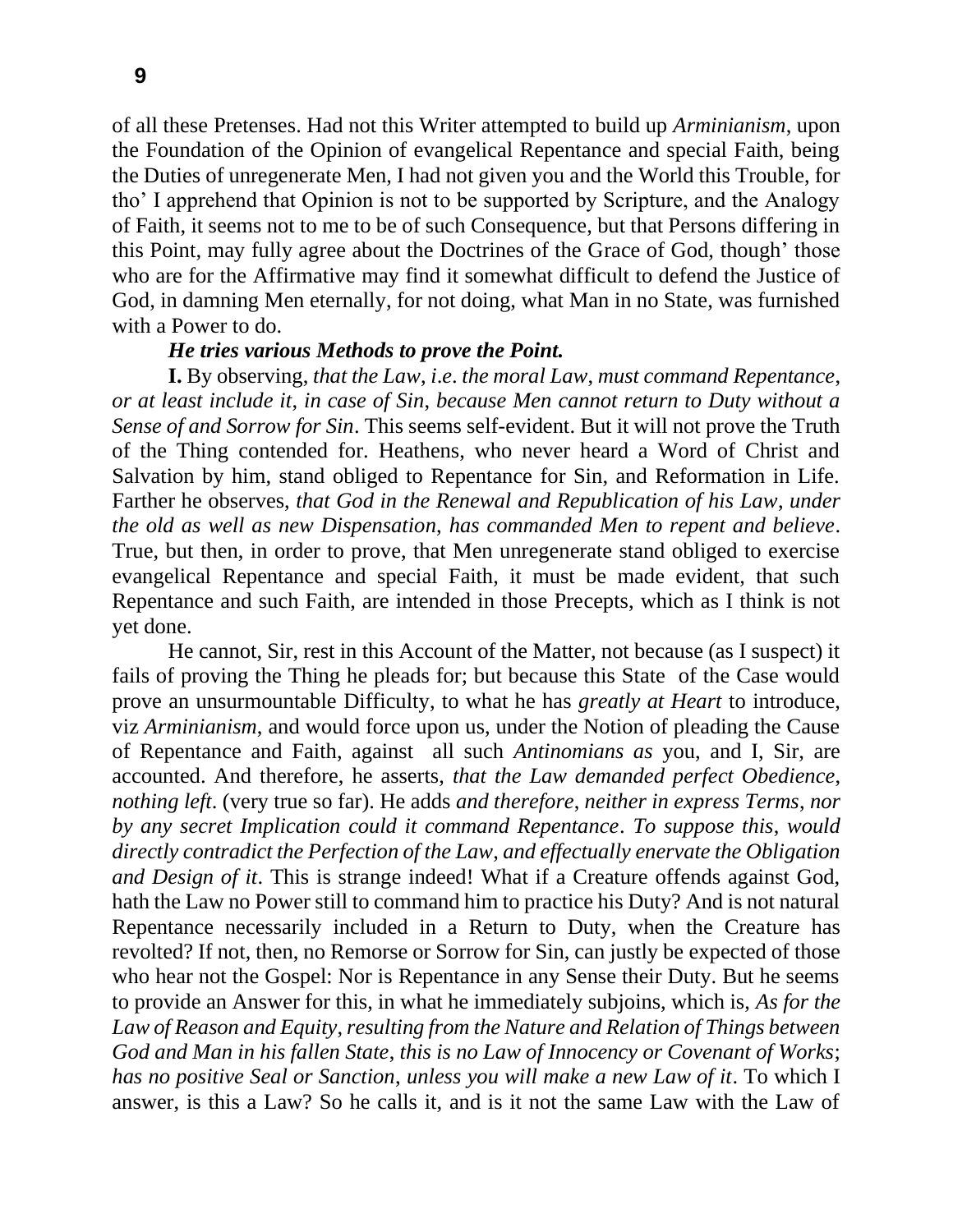of all these Pretenses. Had not this Writer attempted to build up *Arminianism*, upon the Foundation of the Opinion of evangelical Repentance and special Faith, being the Duties of unregenerate Men, I had not given you and the World this Trouble, for tho' I apprehend that Opinion is not to be supported by Scripture, and the Analogy of Faith, it seems not to me to be of such Consequence, but that Persons differing in this Point, may fully agree about the Doctrines of the Grace of God, though' those who are for the Affirmative may find it somewhat difficult to defend the Justice of God, in damning Men eternally, for not doing, what Man in no State, was furnished with a Power to do.

## *He tries various Methods to prove the Point.*

**I.** By observing, *that the Law*, *i*.*e*. *the moral Law*, *must command Repentance*, *or at least include it*, *in case of Sin*, *because Men cannot return to Duty without a Sense of and Sorrow for Sin*. This seems self-evident. But it will not prove the Truth of the Thing contended for. Heathens, who never heard a Word of Christ and Salvation by him, stand obliged to Repentance for Sin, and Reformation in Life. Farther he observes, *that God in the Renewal and Republication of his Law*, *under the old as well as new Dispensation*, *has commanded Men to repent and believe*. True, but then, in order to prove, that Men unregenerate stand obliged to exercise evangelical Repentance and special Faith, it must be made evident, that such Repentance and such Faith, are intended in those Precepts, which as I think is not yet done.

He cannot, Sir, rest in this Account of the Matter, not because (as I suspect) it fails of proving the Thing he pleads for; but because this State of the Case would prove an unsurmountable Difficulty, to what he has *greatly at Heart* to introduce, viz *Arminianism*, and would force upon us, under the Notion of pleading the Cause of Repentance and Faith, against all such *Antinomians as* you, and I, Sir, are accounted. And therefore, he asserts, *that the Law demanded perfect Obedience*, *nothing left*. (very true so far). He adds *and therefore*, *neither in express Terms*, *nor by any secret Implication could it command Repentance*. *To suppose this*, *would directly contradict the Perfection of the Law*, *and effectually enervate the Obligation and Design of it*. This is strange indeed! What if a Creature offends against God, hath the Law no Power still to command him to practice his Duty? And is not natural Repentance necessarily included in a Return to Duty, when the Creature has revolted? If not, then, no Remorse or Sorrow for Sin, can justly be expected of those who hear not the Gospel: Nor is Repentance in any Sense their Duty. But he seems to provide an Answer for this, in what he immediately subjoins, which is, *As for the Law of Reason and Equity*, *resulting from the Nature and Relation of Things between God and Man in his fallen State*, *this is no Law of Innocency or Covenant of Works*; *has no positive Seal or Sanction*, *unless you will make a new Law of it*. To which I answer, is this a Law? So he calls it, and is it not the same Law with the Law of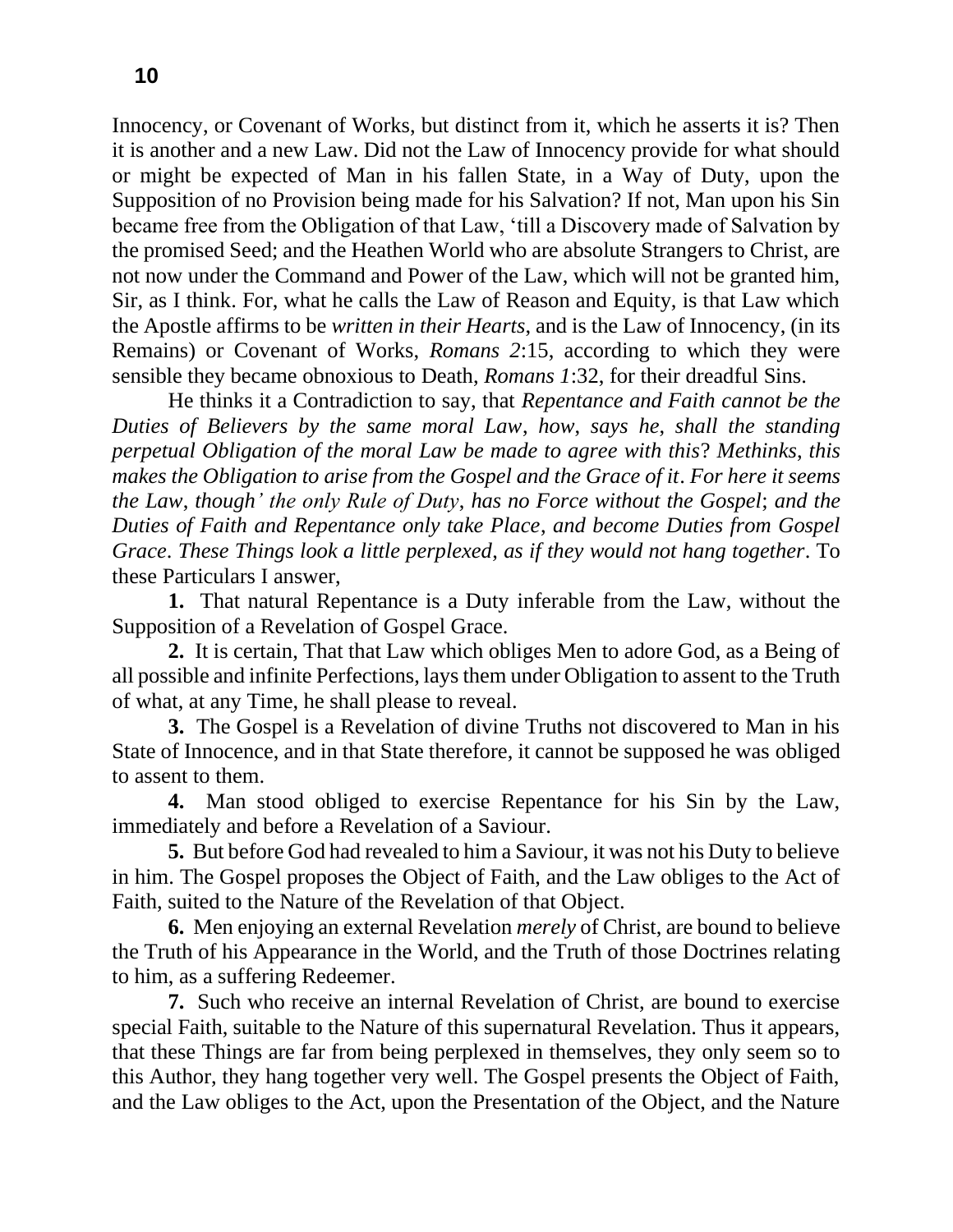Innocency, or Covenant of Works, but distinct from it, which he asserts it is? Then it is another and a new Law. Did not the Law of Innocency provide for what should or might be expected of Man in his fallen State, in a Way of Duty, upon the Supposition of no Provision being made for his Salvation? If not, Man upon his Sin became free from the Obligation of that Law, 'till a Discovery made of Salvation by the promised Seed; and the Heathen World who are absolute Strangers to Christ, are not now under the Command and Power of the Law, which will not be granted him, Sir, as I think. For, what he calls the Law of Reason and Equity, is that Law which the Apostle affirms to be *written in their Hearts*, and is the Law of Innocency, (in its Remains) or Covenant of Works, *Romans 2*:15, according to which they were sensible they became obnoxious to Death, *Romans 1*:32, for their dreadful Sins.

He thinks it a Contradiction to say, that *Repentance and Faith cannot be the Duties of Believers by the same moral Law*, *how*, *says he*, *shall the standing perpetual Obligation of the moral Law be made to agree with this*? *Methinks*, *this makes the Obligation to arise from the Gospel and the Grace of it. For here it seems the Law*, *though' the only Rule of Duty*, *has no Force without the Gospel*; *and the Duties of Faith and Repentance only take Place*, *and become Duties from Gospel Grace*. *These Things look a little perplexed*, *as if they would not hang together*. To these Particulars I answer,

**1.** That natural Repentance is a Duty inferable from the Law, without the Supposition of a Revelation of Gospel Grace.

**2.** It is certain, That that Law which obliges Men to adore God, as a Being of all possible and infinite Perfections, lays them under Obligation to assent to the Truth of what, at any Time, he shall please to reveal.

**3.** The Gospel is a Revelation of divine Truths not discovered to Man in his State of Innocence, and in that State therefore, it cannot be supposed he was obliged to assent to them.

**4.** Man stood obliged to exercise Repentance for his Sin by the Law, immediately and before a Revelation of a Saviour.

**5.** But before God had revealed to him a Saviour, it was not his Duty to believe in him. The Gospel proposes the Object of Faith, and the Law obliges to the Act of Faith, suited to the Nature of the Revelation of that Object.

**6.** Men enjoying an external Revelation *merely* of Christ, are bound to believe the Truth of his Appearance in the World, and the Truth of those Doctrines relating to him, as a suffering Redeemer.

**7.** Such who receive an internal Revelation of Christ, are bound to exercise special Faith, suitable to the Nature of this supernatural Revelation. Thus it appears, that these Things are far from being perplexed in themselves, they only seem so to this Author, they hang together very well. The Gospel presents the Object of Faith, and the Law obliges to the Act, upon the Presentation of the Object, and the Nature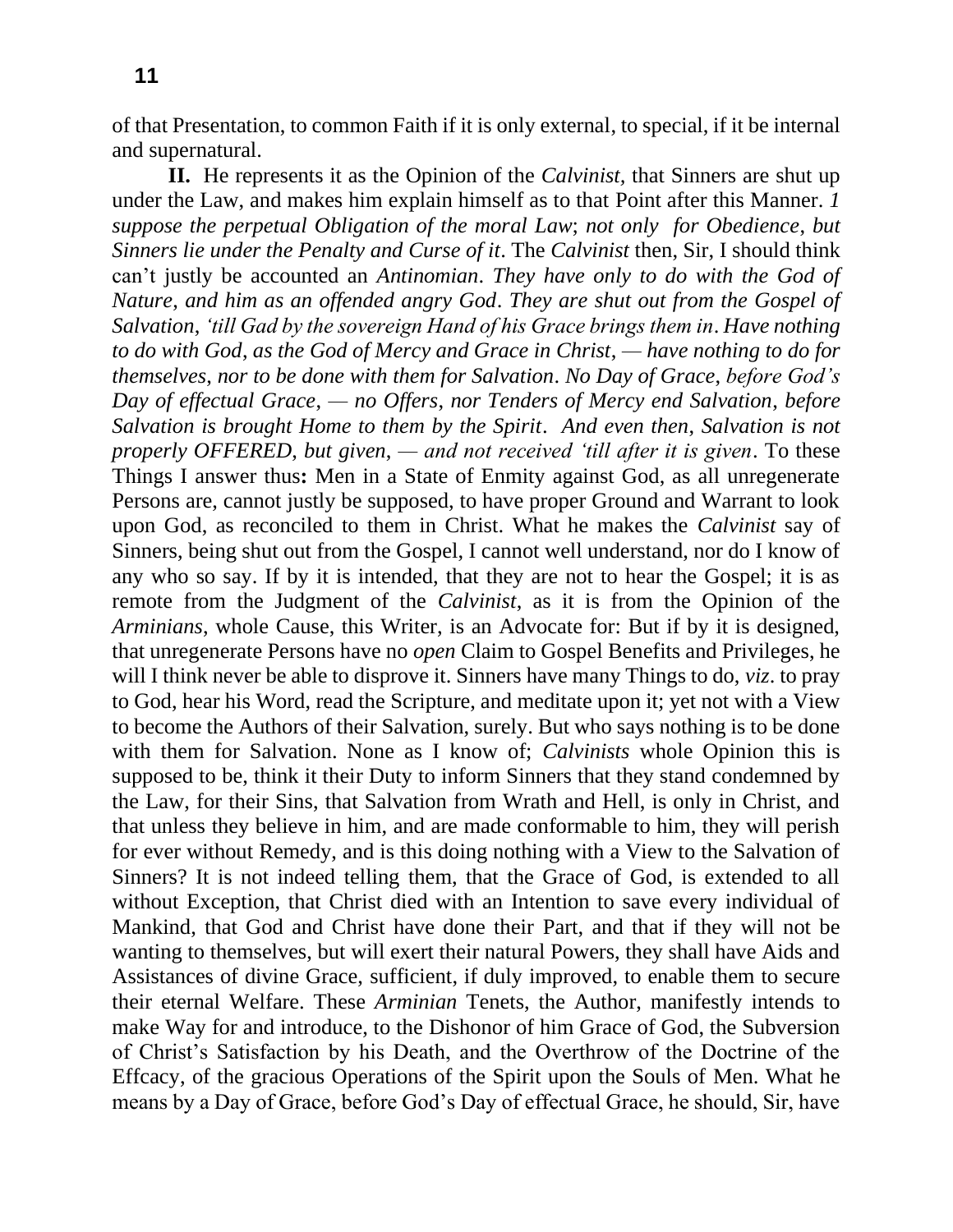of that Presentation, to common Faith if it is only external, to special, if it be internal and supernatural.

**II.** He represents it as the Opinion of the *Calvinist,* that Sinners are shut up under the Law, and makes him explain himself as to that Point after this Manner. *1 suppose the perpetual Obligation of the moral Law*; *not only for Obedience*, *but Sinners lie under the Penalty and Curse of it*. The *Calvinist* then, Sir, I should think can't justly be accounted an *Antinomian*. *They have only to do with the God of Nature*, *and him as an offended angry God*. *They are shut out from the Gospel of Salvation*, *'till Gad by the sovereign Hand of his Grace brings them in*. *Have nothing to do with God*, *as the God of Mercy and Grace in Christ*, *— have nothing to do for themselves*, *nor to be done with them for Salvation*. *No Day of Grace*, *before God's Day of effectual Grace*, *— no Offers*, *nor Tenders of Mercy end Salvation*, *before Salvation is brought Home to them by the Spirit*. *And even then*, *Salvation is not properly OFFERED*, *but given*, *— and not received 'till after it is given*. To these Things I answer thus**:** Men in a State of Enmity against God, as all unregenerate Persons are, cannot justly be supposed, to have proper Ground and Warrant to look upon God, as reconciled to them in Christ. What he makes the *Calvinist* say of Sinners, being shut out from the Gospel, I cannot well understand, nor do I know of any who so say. If by it is intended, that they are not to hear the Gospel; it is as remote from the Judgment of the *Calvinist*, as it is from the Opinion of the *Arminians*, whole Cause, this Writer, is an Advocate for: But if by it is designed, that unregenerate Persons have no *open* Claim to Gospel Benefits and Privileges, he will I think never be able to disprove it. Sinners have many Things to do, *viz*. to pray to God, hear his Word, read the Scripture, and meditate upon it; yet not with a View to become the Authors of their Salvation, surely. But who says nothing is to be done with them for Salvation. None as I know of; *Calvinists* whole Opinion this is supposed to be, think it their Duty to inform Sinners that they stand condemned by the Law, for their Sins, that Salvation from Wrath and Hell, is only in Christ, and that unless they believe in him, and are made conformable to him, they will perish for ever without Remedy, and is this doing nothing with a View to the Salvation of Sinners? It is not indeed telling them, that the Grace of God, is extended to all without Exception, that Christ died with an Intention to save every individual of Mankind, that God and Christ have done their Part, and that if they will not be wanting to themselves, but will exert their natural Powers, they shall have Aids and Assistances of divine Grace, sufficient, if duly improved, to enable them to secure their eternal Welfare. These *Arminian* Tenets, the Author, manifestly intends to make Way for and introduce, to the Dishonor of him Grace of God, the Subversion of Christ's Satisfaction by his Death, and the Overthrow of the Doctrine of the Effcacy, of the gracious Operations of the Spirit upon the Souls of Men. What he means by a Day of Grace, before God's Day of effectual Grace, he should, Sir, have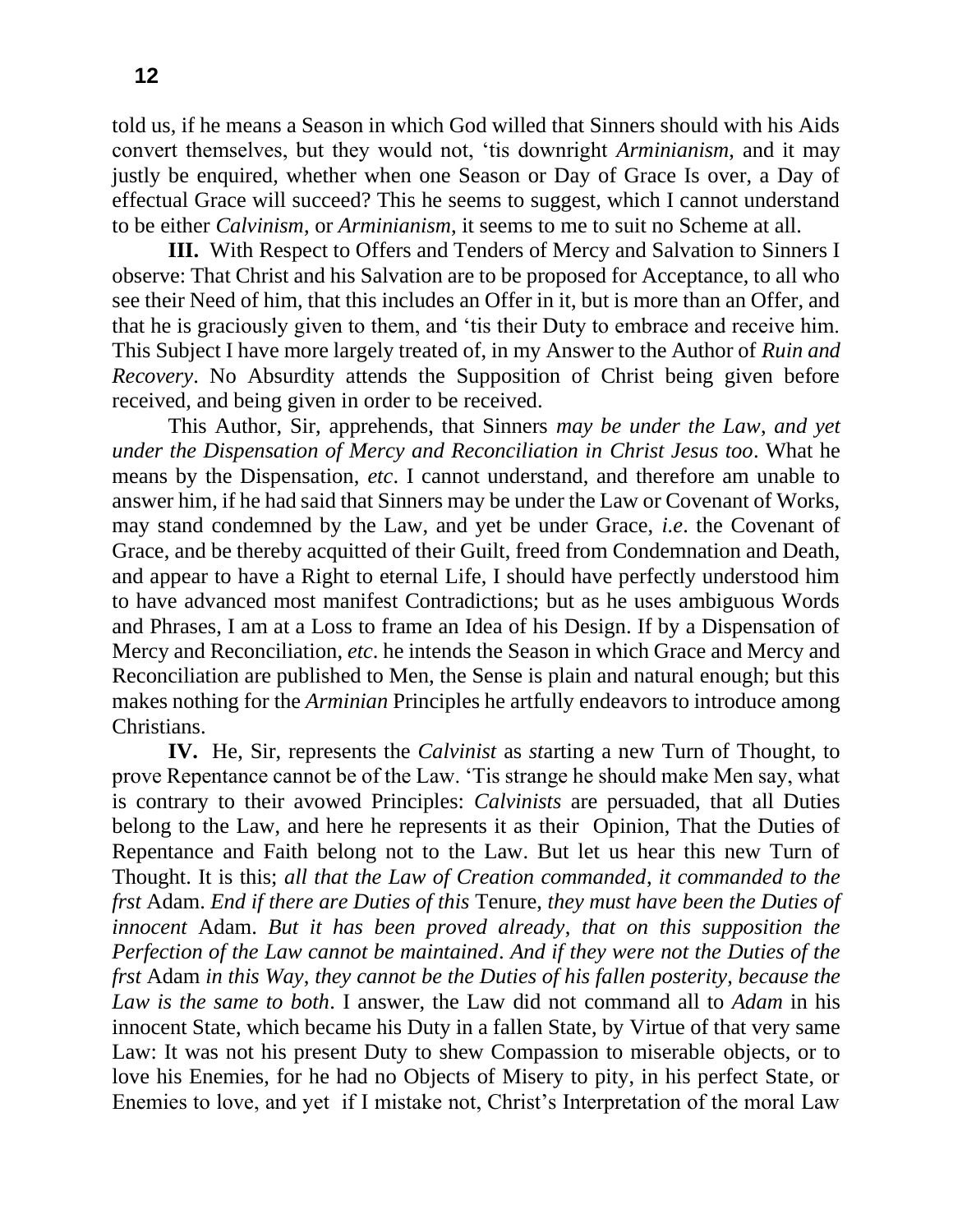told us, if he means a Season in which God willed that Sinners should with his Aids convert themselves, but they would not, 'tis downright *Arminianism*, and it may justly be enquired, whether when one Season or Day of Grace Is over, a Day of effectual Grace will succeed? This he seems to suggest, which I cannot understand to be either *Calvinism*, or *Arminianism*, it seems to me to suit no Scheme at all.

**III.** With Respect to Offers and Tenders of Mercy and Salvation to Sinners I observe: That Christ and his Salvation are to be proposed for Acceptance, to all who see their Need of him, that this includes an Offer in it, but is more than an Offer, and that he is graciously given to them, and 'tis their Duty to embrace and receive him. This Subject I have more largely treated of, in my Answer to the Author of *Ruin and Recovery*. No Absurdity attends the Supposition of Christ being given before received, and being given in order to be received.

This Author, Sir, apprehends, that Sinners *may be under the Law*, *and yet under the Dispensation of Mercy and Reconciliation in Christ Jesus too*. What he means by the Dispensation, *etc*. I cannot understand, and therefore am unable to answer him, if he had said that Sinners may be under the Law or Covenant of Works, may stand condemned by the Law, and yet be under Grace, *i.e*. the Covenant of Grace, and be thereby acquitted of their Guilt, freed from Condemnation and Death, and appear to have a Right to eternal Life, I should have perfectly understood him to have advanced most manifest Contradictions; but as he uses ambiguous Words and Phrases, I am at a Loss to frame an Idea of his Design. If by a Dispensation of Mercy and Reconciliation, *etc*. he intends the Season in which Grace and Mercy and Reconciliation are published to Men, the Sense is plain and natural enough; but this makes nothing for the *Arminian* Principles he artfully endeavors to introduce among Christians.

**IV.** He, Sir, represents the *Calvinist* as *st*arting a new Turn of Thought, to prove Repentance cannot be of the Law. 'Tis strange he should make Men say, what is contrary to their avowed Principles: *Calvinists* are persuaded, that all Duties belong to the Law, and here he represents it as their Opinion, That the Duties of Repentance and Faith belong not to the Law. But let us hear this new Turn of Thought. It is this; *all that the Law of Creation commanded*, *it commanded to the frst* Adam. *End if there are Duties of this* Tenure, *they must have been the Duties of innocent* Adam. *But it has been proved already*, *that on this supposition the Perfection of the Law cannot be maintained*. *And if they were not the Duties of the frst* Adam *in this Way*, *they cannot be the Duties of his fallen posterity*, *because the Law is the same to both*. I answer, the Law did not command all to *Adam* in his innocent State, which became his Duty in a fallen State, by Virtue of that very same Law: It was not his present Duty to shew Compassion to miserable objects, or to love his Enemies, for he had no Objects of Misery to pity, in his perfect State, or Enemies to love, and yet if I mistake not, Christ's Interpretation of the moral Law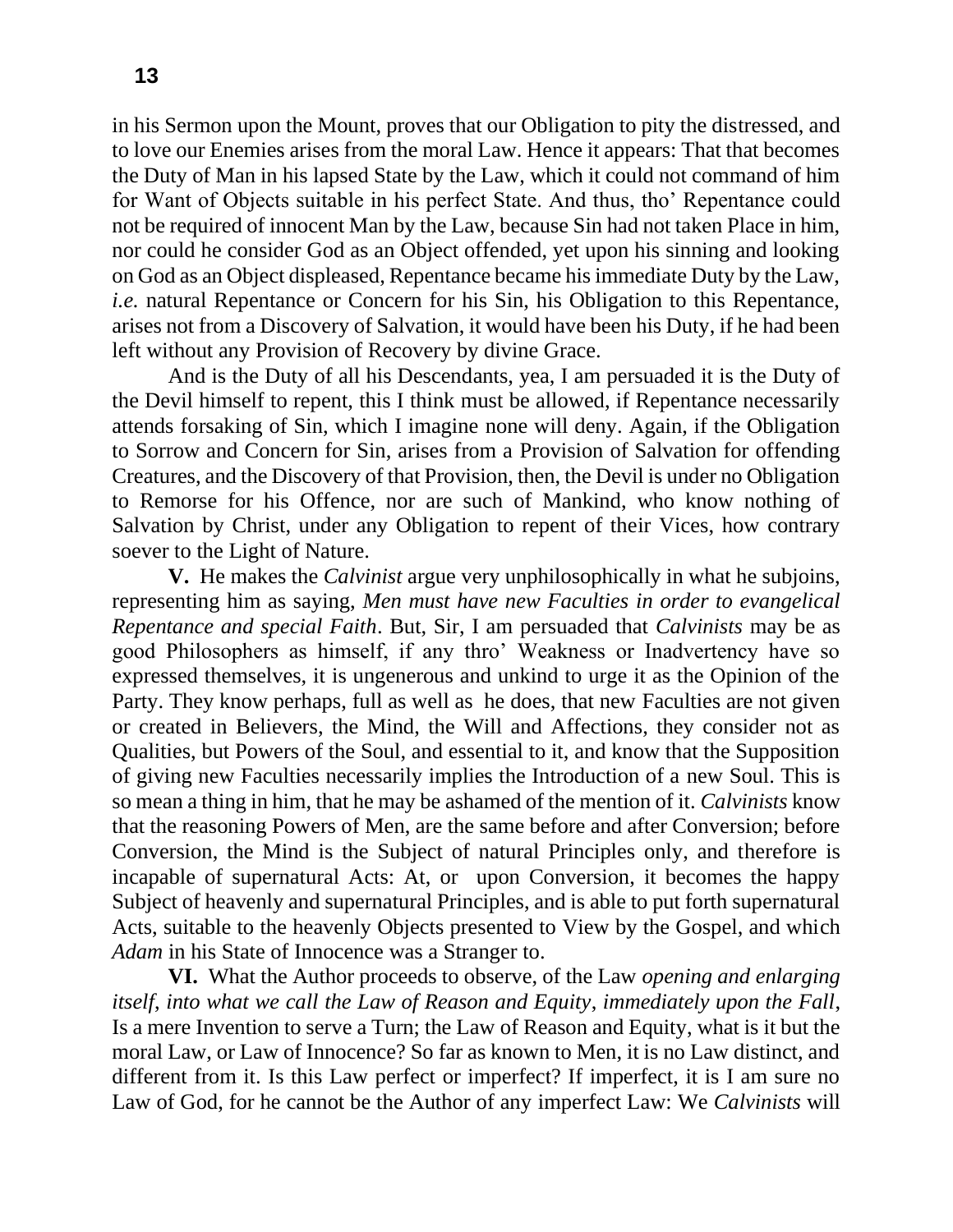in his Sermon upon the Mount, proves that our Obligation to pity the distressed, and to love our Enemies arises from the moral Law. Hence it appears: That that becomes the Duty of Man in his lapsed State by the Law, which it could not command of him for Want of Objects suitable in his perfect State. And thus, tho' Repentance could not be required of innocent Man by the Law, because Sin had not taken Place in him, nor could he consider God as an Object offended, yet upon his sinning and looking on God as an Object displeased, Repentance became his immediate Duty by the Law, *i.e.* natural Repentance or Concern for his Sin, his Obligation to this Repentance, arises not from a Discovery of Salvation, it would have been his Duty, if he had been left without any Provision of Recovery by divine Grace.

And is the Duty of all his Descendants, yea, I am persuaded it is the Duty of the Devil himself to repent, this I think must be allowed, if Repentance necessarily attends forsaking of Sin, which I imagine none will deny. Again, if the Obligation to Sorrow and Concern for Sin, arises from a Provision of Salvation for offending Creatures, and the Discovery of that Provision, then, the Devil is under no Obligation to Remorse for his Offence, nor are such of Mankind, who know nothing of Salvation by Christ, under any Obligation to repent of their Vices, how contrary soever to the Light of Nature.

**V.** He makes the *Calvinist* argue very unphilosophically in what he subjoins, representing him as saying, *Men must have new Faculties in order to evangelical Repentance and special Faith*. But, Sir, I am persuaded that *Calvinists* may be as good Philosophers as himself, if any thro' Weakness or Inadvertency have so expressed themselves, it is ungenerous and unkind to urge it as the Opinion of the Party. They know perhaps, full as well as he does, that new Faculties are not given or created in Believers, the Mind, the Will and Affections, they consider not as Qualities, but Powers of the Soul, and essential to it, and know that the Supposition of giving new Faculties necessarily implies the Introduction of a new Soul. This is so mean a thing in him, that he may be ashamed of the mention of it. *Calvinists* know that the reasoning Powers of Men, are the same before and after Conversion; before Conversion, the Mind is the Subject of natural Principles only, and therefore is incapable of supernatural Acts: At, or upon Conversion, it becomes the happy Subject of heavenly and supernatural Principles, and is able to put forth supernatural Acts, suitable to the heavenly Objects presented to View by the Gospel, and which *Adam* in his State of Innocence was a Stranger to.

**VI.** What the Author proceeds to observe, of the Law *opening and enlarging itself*, *into what we call the Law of Reason and Equity*, *immediately upon the Fall*, Is a mere Invention to serve a Turn; the Law of Reason and Equity, what is it but the moral Law, or Law of Innocence? So far as known to Men, it is no Law distinct, and different from it. Is this Law perfect or imperfect? If imperfect, it is I am sure no Law of God, for he cannot be the Author of any imperfect Law: We *Calvinists* will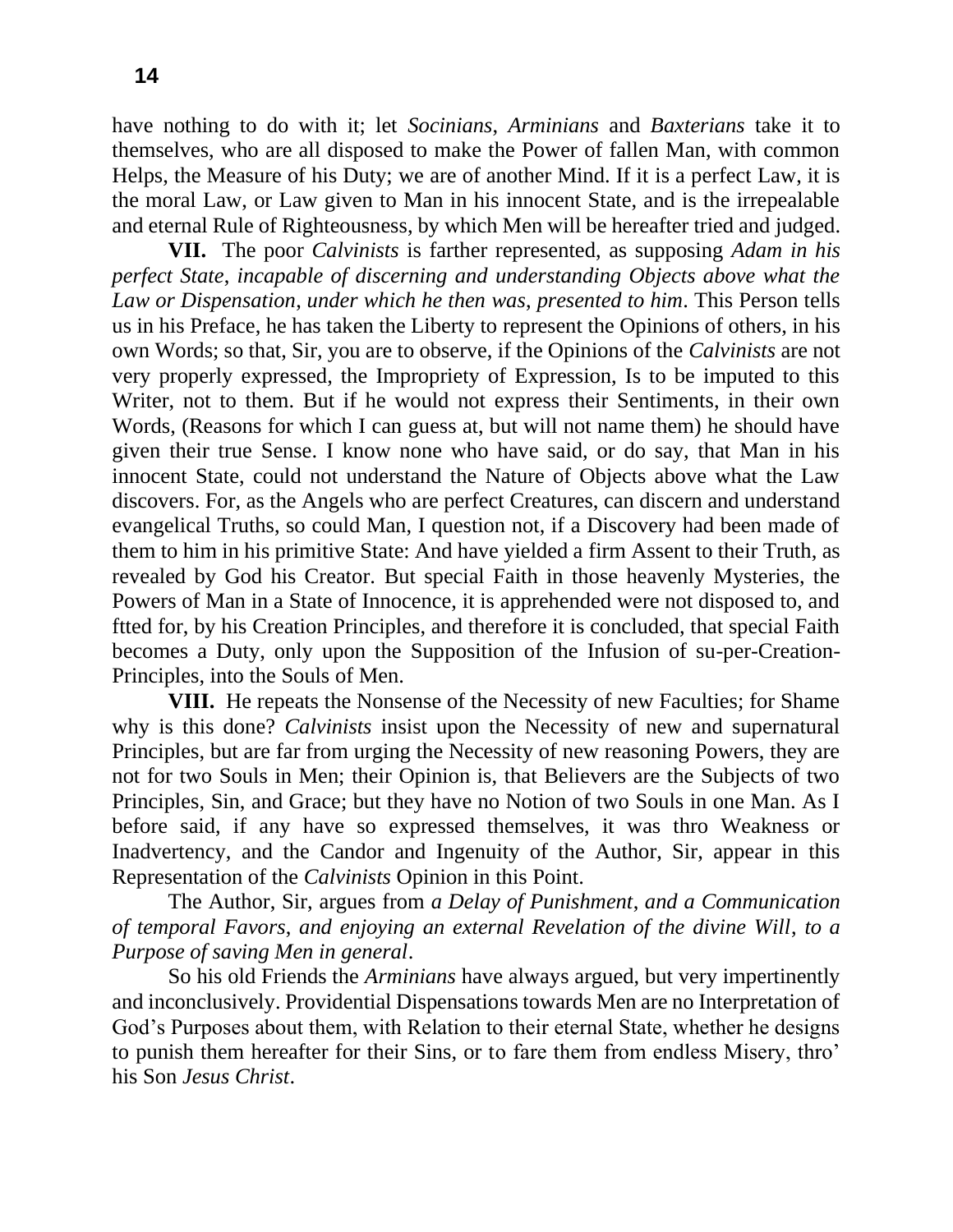have nothing to do with it; let *Socinians*, *Arminians* and *Baxterians* take it to themselves, who are all disposed to make the Power of fallen Man, with common Helps, the Measure of his Duty; we are of another Mind. If it is a perfect Law, it is the moral Law, or Law given to Man in his innocent State, and is the irrepealable and eternal Rule of Righteousness, by which Men will be hereafter tried and judged.

**VII.** The poor *Calvinists* is farther represented, as supposing *Adam in his perfect State*, *incapable of discerning and understanding Objects above what the Law or Dispensation*, *under which he then was*, *presented to him*. This Person tells us in his Preface, he has taken the Liberty to represent the Opinions of others, in his own Words; so that, Sir, you are to observe, if the Opinions of the *Calvinists* are not very properly expressed, the Impropriety of Expression, Is to be imputed to this Writer, not to them. But if he would not express their Sentiments, in their own Words, (Reasons for which I can guess at, but will not name them) he should have given their true Sense. I know none who have said, or do say, that Man in his innocent State, could not understand the Nature of Objects above what the Law discovers. For, as the Angels who are perfect Creatures, can discern and understand evangelical Truths, so could Man, I question not, if a Discovery had been made of them to him in his primitive State: And have yielded a firm Assent to their Truth, as revealed by God his Creator. But special Faith in those heavenly Mysteries, the Powers of Man in a State of Innocence, it is apprehended were not disposed to, and ftted for, by his Creation Principles, and therefore it is concluded, that special Faith becomes a Duty, only upon the Supposition of the Infusion of su-per-Creation-Principles, into the Souls of Men.

**VIII.** He repeats the Nonsense of the Necessity of new Faculties; for Shame why is this done? *Calvinists* insist upon the Necessity of new and supernatural Principles, but are far from urging the Necessity of new reasoning Powers, they are not for two Souls in Men; their Opinion is, that Believers are the Subjects of two Principles, Sin, and Grace; but they have no Notion of two Souls in one Man. As I before said, if any have so expressed themselves, it was thro Weakness or Inadvertency, and the Candor and Ingenuity of the Author, Sir, appear in this Representation of the *Calvinists* Opinion in this Point.

The Author, Sir, argues from *a Delay of Punishment*, *and a Communication of temporal Favors*, *and enjoying an external Revelation of the divine Will*, *to a Purpose of saving Men in general*.

So his old Friends the *Arminians* have always argued, but very impertinently and inconclusively. Providential Dispensations towards Men are no Interpretation of God's Purposes about them, with Relation to their eternal State, whether he designs to punish them hereafter for their Sins, or to fare them from endless Misery, thro' his Son *Jesus Christ*.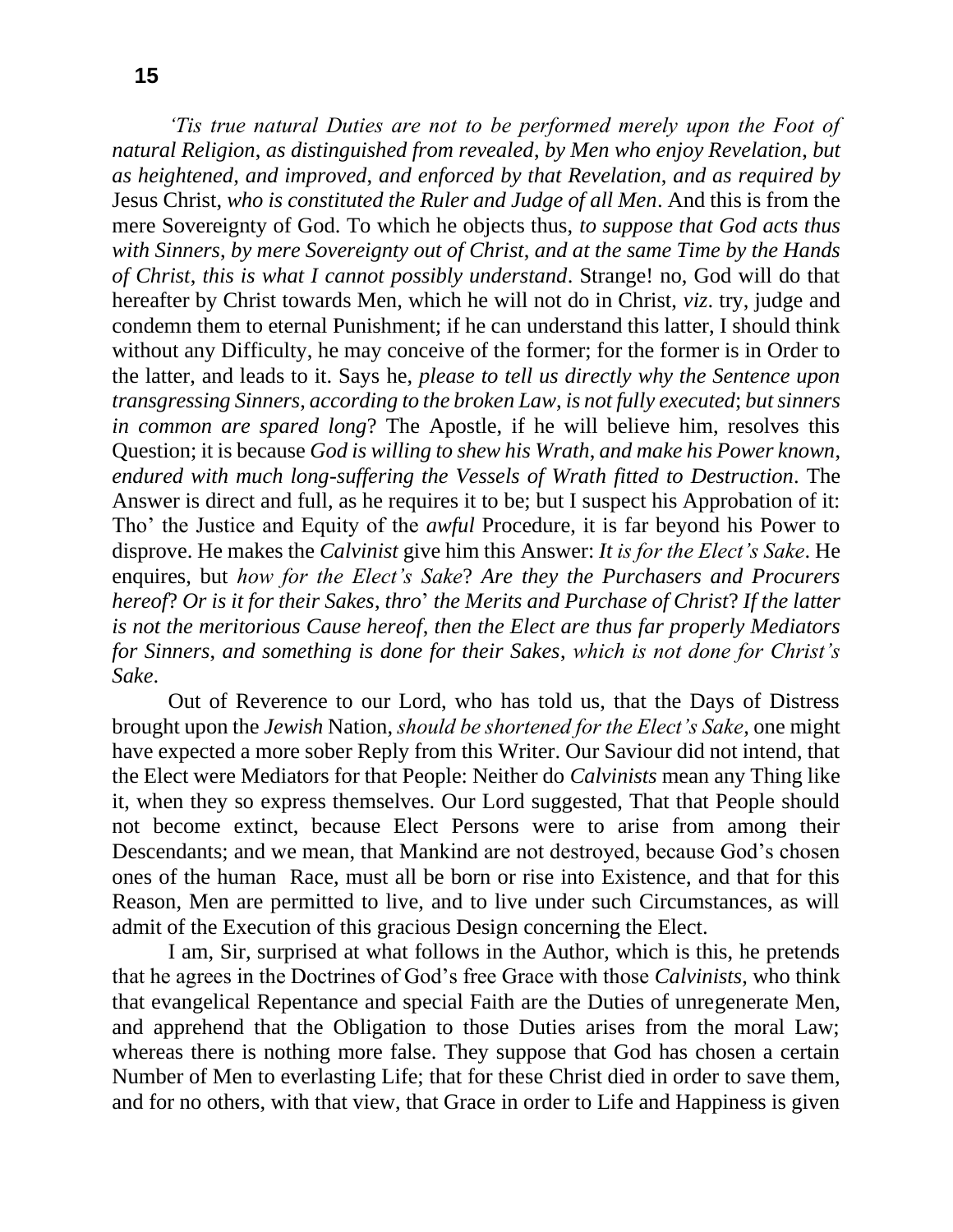**15**

*'Tis true natural Duties are not to be performed merely upon the Foot of natural Religion*, *as distinguished from revealed*, *by Men who enjoy Revelation*, *but as heightened*, *and improved*, *and enforced by that Revelation*, *and as required by*  Jesus Christ, *who is constituted the Ruler and Judge of all Men*. And this is from the mere Sovereignty of God. To which he objects thus, *to suppose that God acts thus with Sinners*, *by mere Sovereignty out of Christ*, *and at the same Time by the Hands of Christ*, *this is what I cannot possibly understand*. Strange! no, God will do that hereafter by Christ towards Men, which he will not do in Christ, *viz*. try, judge and condemn them to eternal Punishment; if he can understand this latter, I should think without any Difficulty, he may conceive of the former; for the former is in Order to the latter, and leads to it. Says he, *please to tell us directly why the Sentence upon transgressing Sinners, according to the broken Law, is not fully executed; but sinners in common are spared long*? The Apostle, if he will believe him, resolves this Question; it is because *God is willing to shew his Wrath*, *and make his Power known*, *endured with much long-suffering the Vessels of Wrath fitted to Destruction*. The Answer is direct and full, as he requires it to be; but I suspect his Approbation of it: Tho' the Justice and Equity of the *awful* Procedure, it is far beyond his Power to disprove. He makes the *Calvinist* give him this Answer: *It is for the Elect's Sake*. He enquires, but *how for the Elect's Sake*? *Are they the Purchasers and Procurers hereof*? *Or is it for their Sakes*, *thro*' *the Merits and Purchase of Christ*? *If the latter is not the meritorious Cause hereof*, *then the Elect are thus far properly Mediators for Sinners*, *and something is done for their Sakes*, *which is not done for Christ's Sake*.

Out of Reverence to our Lord, who has told us, that the Days of Distress brought upon the *Jewish* Nation, *should be shortened for the Elect's Sake*, one might have expected a more sober Reply from this Writer. Our Saviour did not intend, that the Elect were Mediators for that People: Neither do *Calvinists* mean any Thing like it, when they so express themselves. Our Lord suggested, That that People should not become extinct, because Elect Persons were to arise from among their Descendants; and we mean, that Mankind are not destroyed, because God's chosen ones of the human Race, must all be born or rise into Existence, and that for this Reason, Men are permitted to live, and to live under such Circumstances, as will admit of the Execution of this gracious Design concerning the Elect.

I am, Sir, surprised at what follows in the Author, which is this, he pretends that he agrees in the Doctrines of God's free Grace with those *Calvinists*, who think that evangelical Repentance and special Faith are the Duties of unregenerate Men, and apprehend that the Obligation to those Duties arises from the moral Law; whereas there is nothing more false. They suppose that God has chosen a certain Number of Men to everlasting Life; that for these Christ died in order to save them, and for no others, with that view, that Grace in order to Life and Happiness is given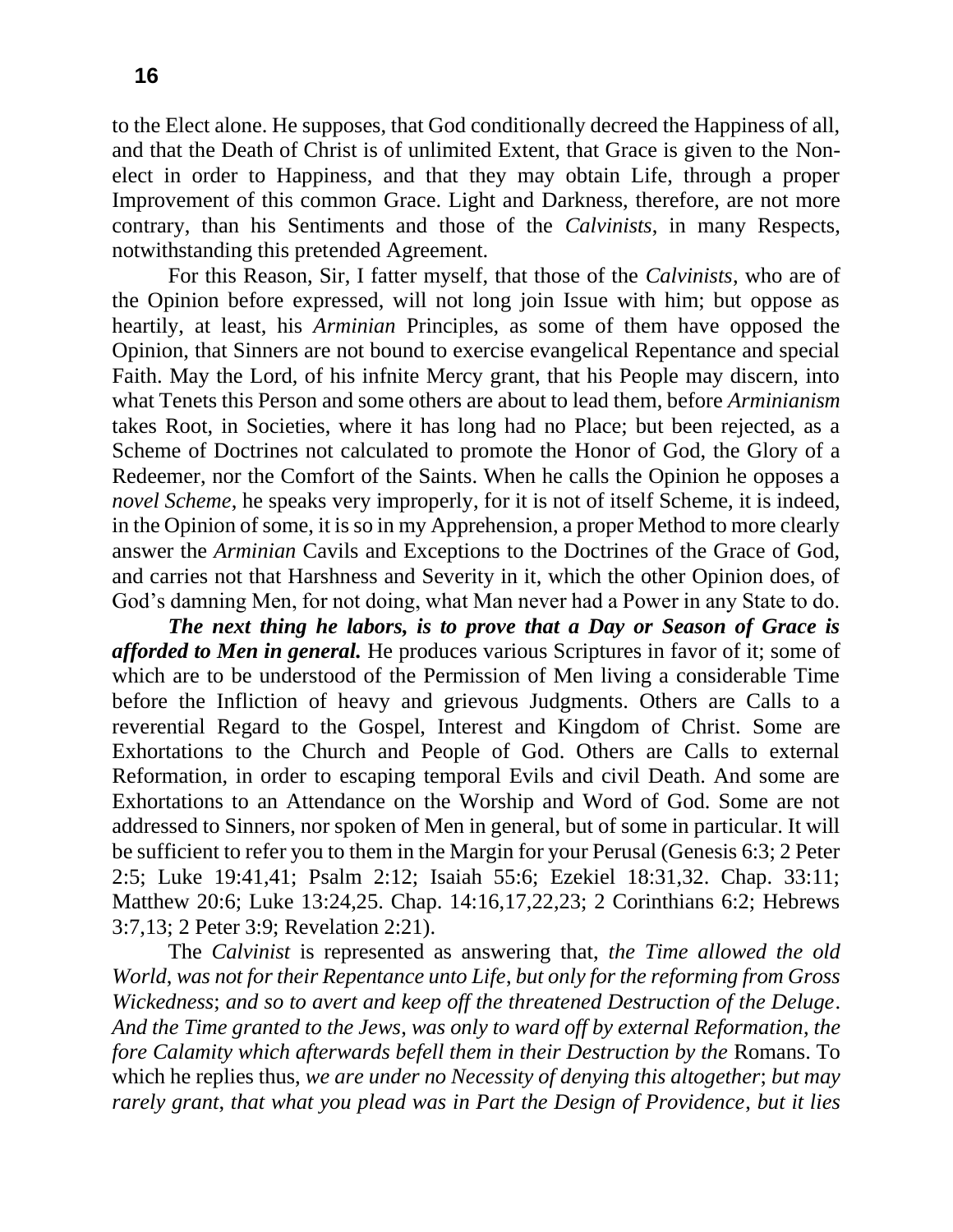to the Elect alone. He supposes, that God conditionally decreed the Happiness of all, and that the Death of Christ is of unlimited Extent, that Grace is given to the Nonelect in order to Happiness, and that they may obtain Life, through a proper Improvement of this common Grace. Light and Darkness, therefore, are not more contrary, than his Sentiments and those of the *Calvinists*, in many Respects, notwithstanding this pretended Agreement.

For this Reason, Sir, I fatter myself, that those of the *Calvinists*, who are of the Opinion before expressed, will not long join Issue with him; but oppose as heartily, at least, his *Arminian* Principles, as some of them have opposed the Opinion, that Sinners are not bound to exercise evangelical Repentance and special Faith. May the Lord, of his infnite Mercy grant, that his People may discern, into what Tenets this Person and some others are about to lead them, before *Arminianism*  takes Root, in Societies, where it has long had no Place; but been rejected, as a Scheme of Doctrines not calculated to promote the Honor of God, the Glory of a Redeemer, nor the Comfort of the Saints. When he calls the Opinion he opposes a *novel Scheme*, he speaks very improperly, for it is not of itself Scheme, it is indeed, in the Opinion of some, it is so in my Apprehension, a proper Method to more clearly answer the *Arminian* Cavils and Exceptions to the Doctrines of the Grace of God, and carries not that Harshness and Severity in it, which the other Opinion does, of God's damning Men, for not doing, what Man never had a Power in any State to do.

*The next thing he labors, is to prove that a Day or Season of Grace is afforded to Men in general.* He produces various Scriptures in favor of it; some of which are to be understood of the Permission of Men living a considerable Time before the Infliction of heavy and grievous Judgments. Others are Calls to a reverential Regard to the Gospel, Interest and Kingdom of Christ. Some are Exhortations to the Church and People of God. Others are Calls to external Reformation, in order to escaping temporal Evils and civil Death. And some are Exhortations to an Attendance on the Worship and Word of God. Some are not addressed to Sinners, nor spoken of Men in general, but of some in particular. It will be sufficient to refer you to them in the Margin for your Perusal (Genesis 6:3; 2 Peter 2:5; Luke 19:41,41; Psalm 2:12; Isaiah 55:6; Ezekiel 18:31,32. Chap. 33:11; Matthew 20:6; Luke 13:24,25. Chap. 14:16,17,22,23; 2 Corinthians 6:2; Hebrews 3:7,13; 2 Peter 3:9; Revelation 2:21).

The *Calvinist* is represented as answering that, *the Time allowed the old World*, *was not for their Repentance unto Life*, *but only for the reforming from Gross Wickedness*; *and so to avert and keep off the threatened Destruction of the Deluge*. *And the Time granted to the Jews*, *was only to ward off by external Reformation*, *the fore Calamity which afterwards befell them in their Destruction by the* Romans. To which he replies thus, *we are under no Necessity of denying this altogether*; *but may rarely grant*, *that what you plead was in Part the Design of Providence*, *but it lies*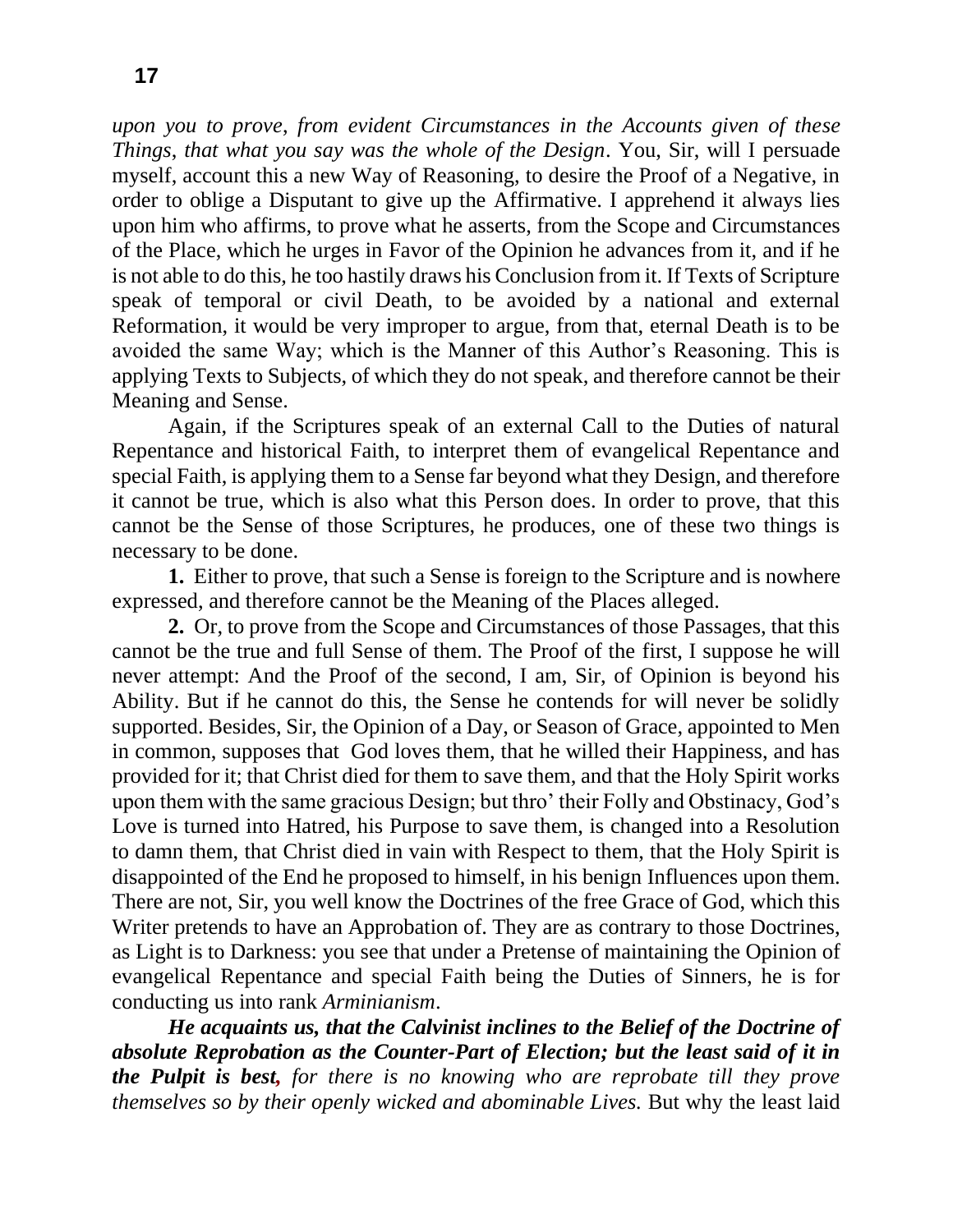**17**

*upon you to prove*, *from evident Circumstances in the Accounts given of these Things*, *that what you say was the whole of the Design*. You, Sir, will I persuade myself, account this a new Way of Reasoning, to desire the Proof of a Negative, in order to oblige a Disputant to give up the Affirmative. I apprehend it always lies upon him who affirms, to prove what he asserts, from the Scope and Circumstances of the Place, which he urges in Favor of the Opinion he advances from it, and if he is not able to do this, he too hastily draws his Conclusion from it. If Texts of Scripture speak of temporal or civil Death, to be avoided by a national and external Reformation, it would be very improper to argue, from that, eternal Death is to be avoided the same Way; which is the Manner of this Author's Reasoning. This is applying Texts to Subjects, of which they do not speak, and therefore cannot be their Meaning and Sense.

Again, if the Scriptures speak of an external Call to the Duties of natural Repentance and historical Faith, to interpret them of evangelical Repentance and special Faith, is applying them to a Sense far beyond what they Design, and therefore it cannot be true, which is also what this Person does. In order to prove, that this cannot be the Sense of those Scriptures, he produces, one of these two things is necessary to be done.

**1.**Either to prove, that such a Sense is foreign to the Scripture and is nowhere expressed, and therefore cannot be the Meaning of the Places alleged.

**2.** Or, to prove from the Scope and Circumstances of those Passages, that this cannot be the true and full Sense of them. The Proof of the first, I suppose he will never attempt: And the Proof of the second, I am, Sir, of Opinion is beyond his Ability. But if he cannot do this, the Sense he contends for will never be solidly supported. Besides, Sir, the Opinion of a Day, or Season of Grace, appointed to Men in common, supposes that God loves them, that he willed their Happiness, and has provided for it; that Christ died for them to save them, and that the Holy Spirit works upon them with the same gracious Design; but thro' their Folly and Obstinacy, God's Love is turned into Hatred, his Purpose to save them, is changed into a Resolution to damn them, that Christ died in vain with Respect to them, that the Holy Spirit is disappointed of the End he proposed to himself, in his benign Influences upon them. There are not, Sir, you well know the Doctrines of the free Grace of God, which this Writer pretends to have an Approbation of. They are as contrary to those Doctrines, as Light is to Darkness: you see that under a Pretense of maintaining the Opinion of evangelical Repentance and special Faith being the Duties of Sinners, he is for conducting us into rank *Arminianism*.

*He acquaints us, that the Calvinist inclines to the Belief of the Doctrine of absolute Reprobation as the Counter-Part of Election; but the least said of it in the Pulpit is best, for there is no knowing who are reprobate till they prove themselves so by their openly wicked and abominable Lives.* But why the least laid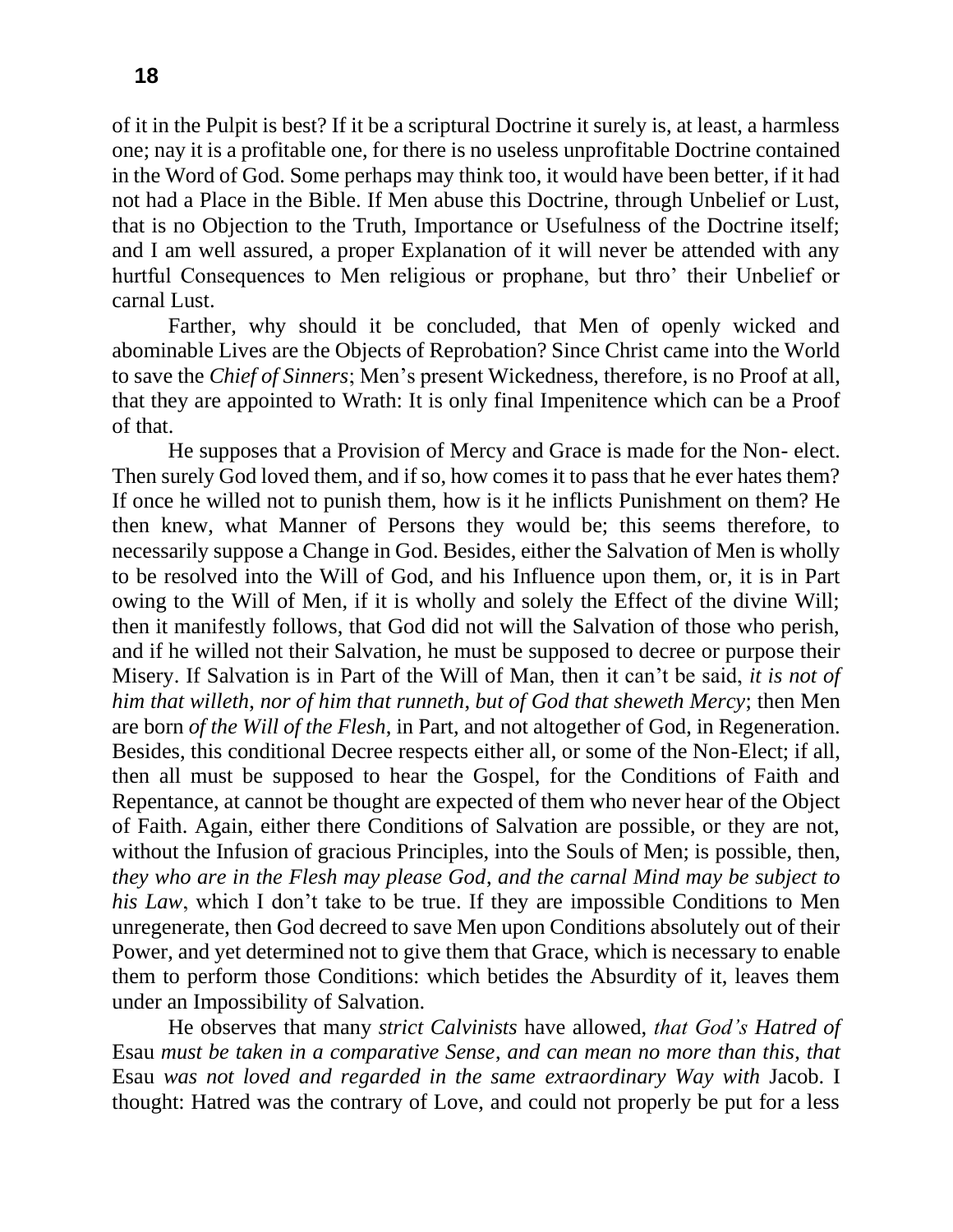of it in the Pulpit is best? If it be a scriptural Doctrine it surely is, at least, a harmless one; nay it is a profitable one, for there is no useless unprofitable Doctrine contained in the Word of God. Some perhaps may think too, it would have been better, if it had not had a Place in the Bible. If Men abuse this Doctrine, through Unbelief or Lust, that is no Objection to the Truth, Importance or Usefulness of the Doctrine itself; and I am well assured, a proper Explanation of it will never be attended with any hurtful Consequences to Men religious or prophane, but thro' their Unbelief or carnal Lust.

Farther, why should it be concluded, that Men of openly wicked and abominable Lives are the Objects of Reprobation? Since Christ came into the World to save the *Chief of Sinners*; Men's present Wickedness, therefore, is no Proof at all, that they are appointed to Wrath: It is only final Impenitence which can be a Proof of that.

He supposes that a Provision of Mercy and Grace is made for the Non- elect. Then surely God loved them, and if so, how comes it to pass that he ever hates them? If once he willed not to punish them, how is it he inflicts Punishment on them? He then knew, what Manner of Persons they would be; this seems therefore, to necessarily suppose a Change in God. Besides, either the Salvation of Men is wholly to be resolved into the Will of God, and his Influence upon them, or, it is in Part owing to the Will of Men, if it is wholly and solely the Effect of the divine Will; then it manifestly follows, that God did not will the Salvation of those who perish, and if he willed not their Salvation, he must be supposed to decree or purpose their Misery. If Salvation is in Part of the Will of Man, then it can't be said, *it is not of him that willeth*, *nor of him that runneth*, *but of God that sheweth Mercy*; then Men are born *of the Will of the Flesh*, in Part, and not altogether of God, in Regeneration. Besides, this conditional Decree respects either all, or some of the Non-Elect; if all, then all must be supposed to hear the Gospel, for the Conditions of Faith and Repentance, at cannot be thought are expected of them who never hear of the Object of Faith. Again, either there Conditions of Salvation are possible, or they are not, without the Infusion of gracious Principles, into the Souls of Men; is possible, then, *they who are in the Flesh may please God*, *and the carnal Mind may be subject to his Law*, which I don't take to be true. If they are impossible Conditions to Men unregenerate, then God decreed to save Men upon Conditions absolutely out of their Power, and yet determined not to give them that Grace, which is necessary to enable them to perform those Conditions: which betides the Absurdity of it, leaves them under an Impossibility of Salvation.

He observes that many *strict Calvinists* have allowed, *that God's Hatred of*  Esau *must be taken in a comparative Sense*, *and can mean no more than this*, *that*  Esau *was not loved and regarded in the same extraordinary Way with* Jacob. I thought: Hatred was the contrary of Love, and could not properly be put for a less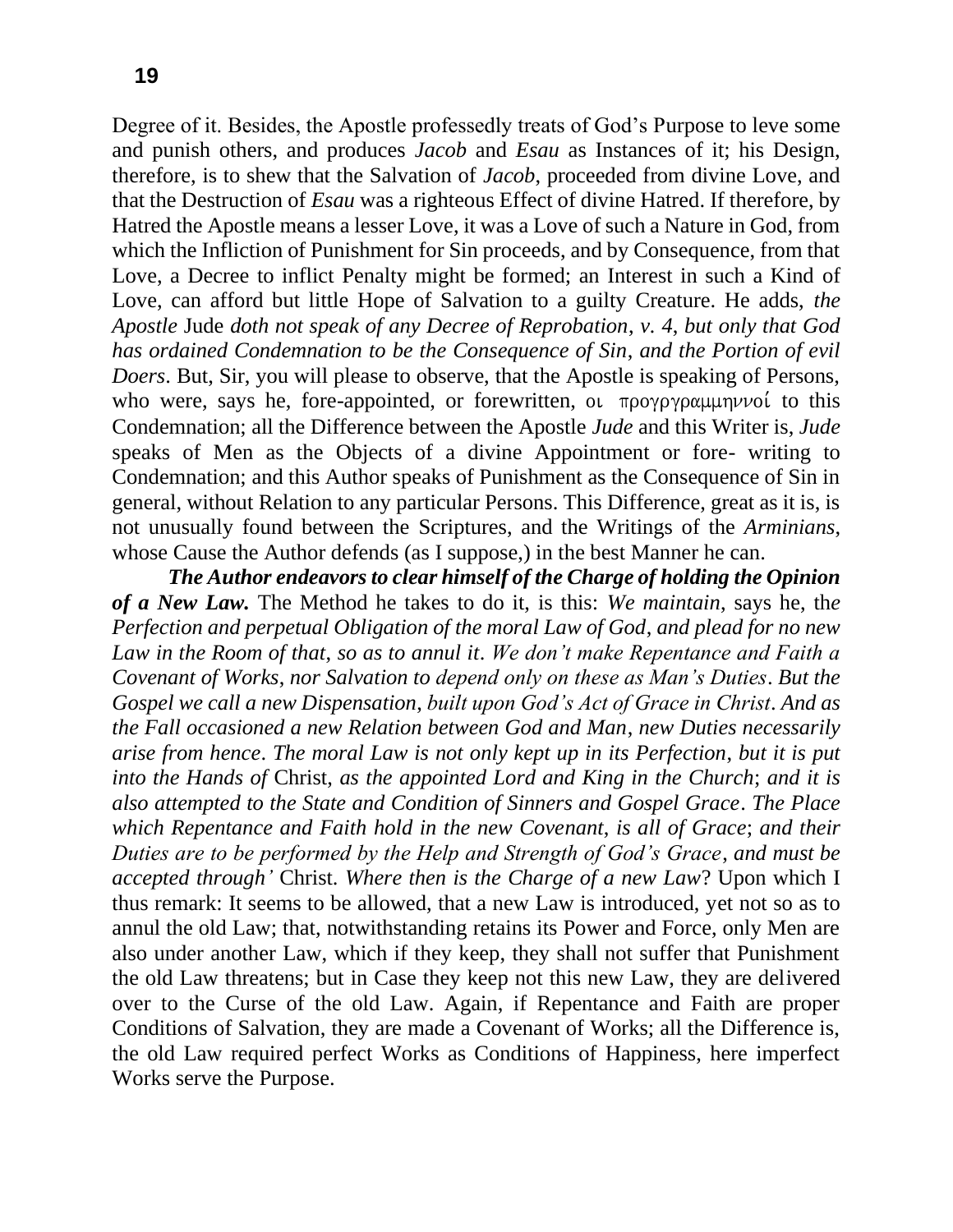Degree of it. Besides, the Apostle professedly treats of God's Purpose to leve some and punish others, and produces *Jacob* and *Esau* as Instances of it; his Design, therefore, is to shew that the Salvation of *Jacob*, proceeded from divine Love, and that the Destruction of *Esau* was a righteous Effect of divine Hatred. If therefore, by Hatred the Apostle means a lesser Love, it was a Love of such a Nature in God, from which the Infliction of Punishment for Sin proceeds, and by Consequence, from that Love, a Decree to inflict Penalty might be formed; an Interest in such a Kind of Love, can afford but little Hope of Salvation to a guilty Creature. He adds, *the Apostle* Jude *doth not speak of any Decree of Reprobation*, *v. 4*, *but only that God has ordained Condemnation to be the Consequence of Sin*, *and the Portion of evil Doers*. But, Sir, you will please to observe, that the Apostle is speaking of Persons, who were, says he, fore-appointed, or forewritten, or  $\pi$  *po* $\gamma$ *p* $\gamma$ *p* $\alpha$  $\mu$  $\mu$  $\gamma$ *v* $\alpha$ *i* to this Condemnation; all the Difference between the Apostle *Jude* and this Writer is, *Jude*  speaks of Men as the Objects of a divine Appointment or fore- writing to Condemnation; and this Author speaks of Punishment as the Consequence of Sin in general, without Relation to any particular Persons. This Difference, great as it is, is not unusually found between the Scriptures, and the Writings of the *Arminians*, whose Cause the Author defends (as I suppose,) in the best Manner he can.

*The Author endeavors to clear himself of the Charge of holding the Opinion of a New Law.* The Method he takes to do it, is this: *We maintain*, says he, th*e Perfection and perpetual Obligation of the moral Law of God*, *and plead for no new Law in the Room of that*, *so as to annul it*. *We don't make Repentance and Faith a Covenant of Works*, *nor Salvation to depend only on these as Man's Duties*. *But the Gospel we call a new Dispensation*, *built upon God's Act of Grace in Christ*. *And as the Fall occasioned a new Relation between God and Man*, *new Duties necessarily arise from hence*. *The moral Law is not only kept up in its Perfection*, *but it is put into the Hands of* Christ, *as the appointed Lord and King in the Church*; *and it is also attempted to the State and Condition of Sinners and Gospel Grace*. *The Place which Repentance and Faith hold in the new Covenant*, *is all of Grace*; *and their Duties are to be performed by the Help and Strength of God's Grace*, *and must be accepted through'* Christ. *Where then is the Charge of a new Law*? Upon which I thus remark: It seems to be allowed, that a new Law is introduced, yet not so as to annul the old Law; that, notwithstanding retains its Power and Force, only Men are also under another Law, which if they keep, they shall not suffer that Punishment the old Law threatens; but in Case they keep not this new Law, they are delivered over to the Curse of the old Law. Again, if Repentance and Faith are proper Conditions of Salvation, they are made a Covenant of Works; all the Difference is, the old Law required perfect Works as Conditions of Happiness, here imperfect Works serve the Purpose.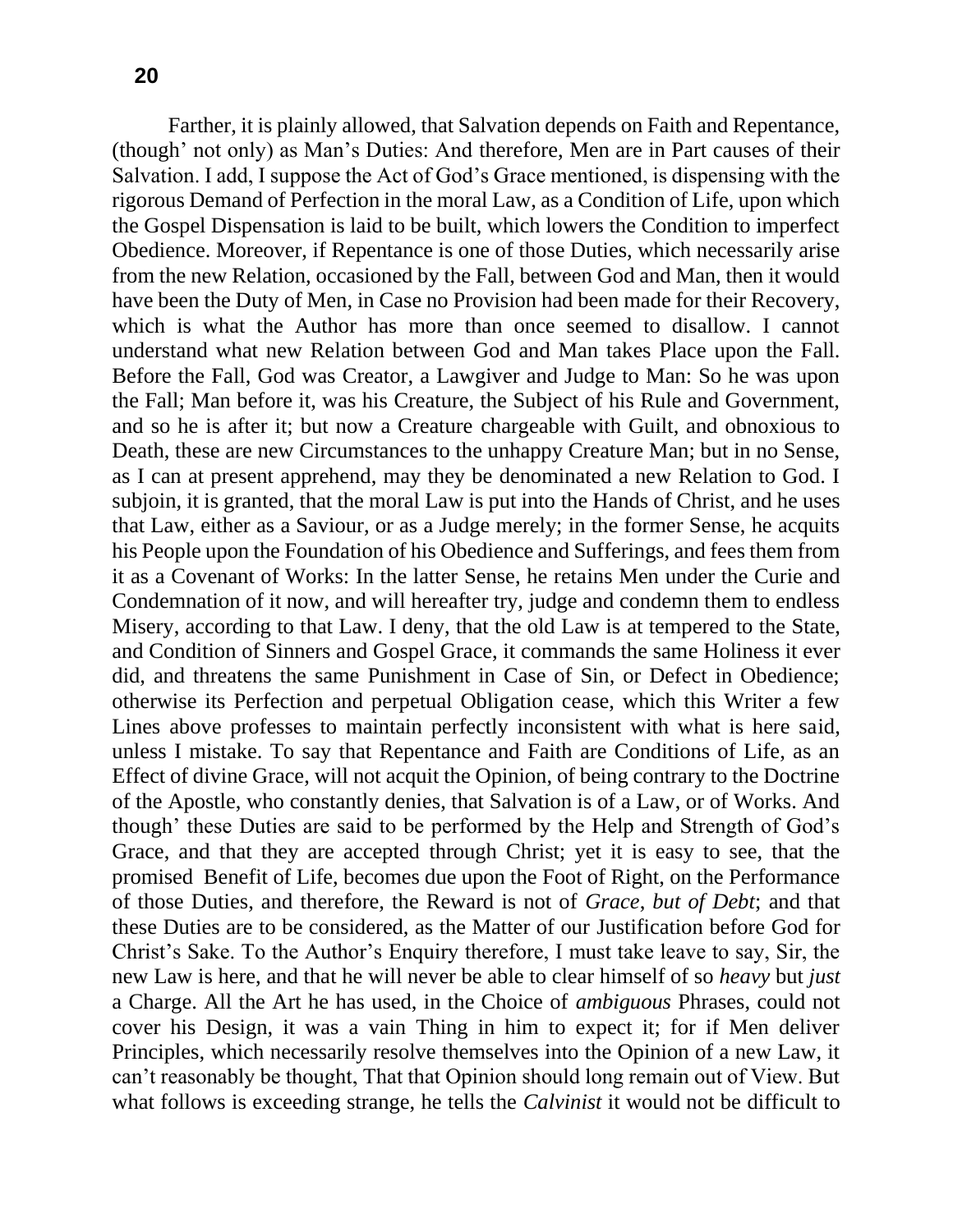Farther, it is plainly allowed, that Salvation depends on Faith and Repentance, (though' not only) as Man's Duties: And therefore, Men are in Part causes of their Salvation. I add, I suppose the Act of God's Grace mentioned, is dispensing with the rigorous Demand of Perfection in the moral Law, as a Condition of Life, upon which the Gospel Dispensation is laid to be built, which lowers the Condition to imperfect Obedience. Moreover, if Repentance is one of those Duties, which necessarily arise from the new Relation, occasioned by the Fall, between God and Man, then it would have been the Duty of Men, in Case no Provision had been made for their Recovery, which is what the Author has more than once seemed to disallow. I cannot understand what new Relation between God and Man takes Place upon the Fall. Before the Fall, God was Creator, a Lawgiver and Judge to Man: So he was upon the Fall; Man before it, was his Creature, the Subject of his Rule and Government, and so he is after it; but now a Creature chargeable with Guilt, and obnoxious to Death, these are new Circumstances to the unhappy Creature Man; but in no Sense, as I can at present apprehend, may they be denominated a new Relation to God. I subjoin, it is granted, that the moral Law is put into the Hands of Christ, and he uses that Law, either as a Saviour, or as a Judge merely; in the former Sense, he acquits his People upon the Foundation of his Obedience and Sufferings, and fees them from it as a Covenant of Works: In the latter Sense, he retains Men under the Curie and Condemnation of it now, and will hereafter try, judge and condemn them to endless Misery, according to that Law. I deny, that the old Law is at tempered to the State, and Condition of Sinners and Gospel Grace, it commands the same Holiness it ever did, and threatens the same Punishment in Case of Sin, or Defect in Obedience; otherwise its Perfection and perpetual Obligation cease, which this Writer a few Lines above professes to maintain perfectly inconsistent with what is here said, unless I mistake. To say that Repentance and Faith are Conditions of Life, as an Effect of divine Grace, will not acquit the Opinion, of being contrary to the Doctrine of the Apostle, who constantly denies, that Salvation is of a Law, or of Works. And though' these Duties are said to be performed by the Help and Strength of God's Grace, and that they are accepted through Christ; yet it is easy to see, that the promised Benefit of Life, becomes due upon the Foot of Right, on the Performance of those Duties, and therefore, the Reward is not of *Grace*, *but of Debt*; and that these Duties are to be considered, as the Matter of our Justification before God for Christ's Sake. To the Author's Enquiry therefore, I must take leave to say, Sir, the new Law is here, and that he will never be able to clear himself of so *heavy* but *just*  a Charge. All the Art he has used, in the Choice of *ambiguous* Phrases, could not cover his Design, it was a vain Thing in him to expect it; for if Men deliver Principles, which necessarily resolve themselves into the Opinion of a new Law, it can't reasonably be thought, That that Opinion should long remain out of View. But what follows is exceeding strange, he tells the *Calvinist* it would not be difficult to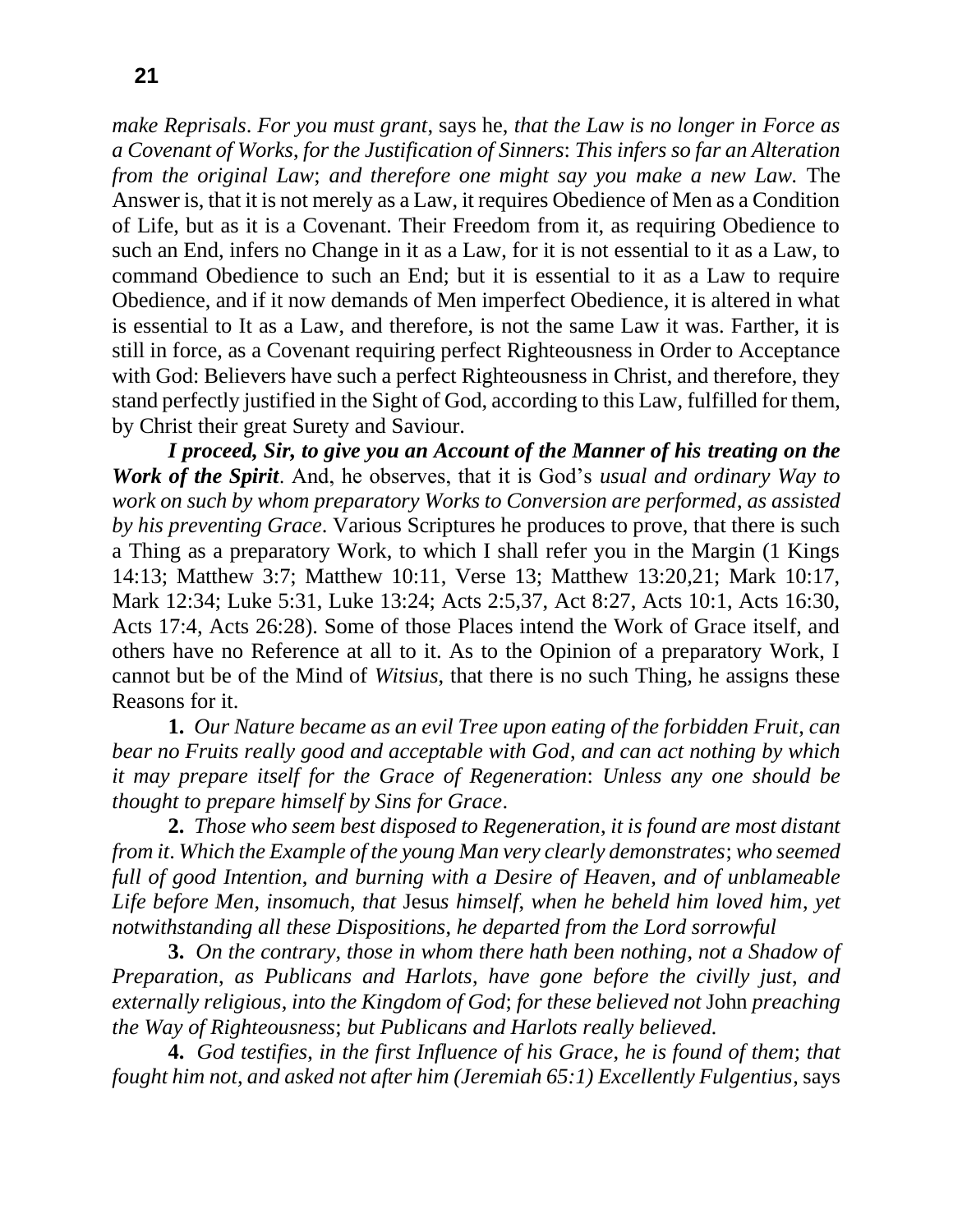*make Reprisals*. *For you must grant*, says he, *that the Law is no longer in Force as a Covenant of Works*, *for the Justification of Sinners*: *This infers so far an Alteration from the original Law*; *and therefore one might say you make a new Law.* The Answer is, that it is not merely as a Law, it requires Obedience of Men as a Condition of Life, but as it is a Covenant. Their Freedom from it, as requiring Obedience to such an End, infers no Change in it as a Law, for it is not essential to it as a Law, to command Obedience to such an End; but it is essential to it as a Law to require Obedience, and if it now demands of Men imperfect Obedience, it is altered in what is essential to It as a Law, and therefore, is not the same Law it was. Farther, it is still in force, as a Covenant requiring perfect Righteousness in Order to Acceptance with God: Believers have such a perfect Righteousness in Christ, and therefore, they stand perfectly justified in the Sight of God, according to this Law, fulfilled for them, by Christ their great Surety and Saviour.

*I proceed, Sir, to give you an Account of the Manner of his treating on the Work of the Spirit*. And, he observes, that it is God's *usual and ordinary Way to work on such by whom preparatory Works to Conversion are performed*, *as assisted by his preventing Grace*. Various Scriptures he produces to prove, that there is such a Thing as a preparatory Work, to which I shall refer you in the Margin (1 Kings 14:13; Matthew 3:7; Matthew 10:11, Verse 13; Matthew 13:20,21; Mark 10:17, Mark 12:34; Luke 5:31, Luke 13:24; Acts 2:5,37, Act 8:27, Acts 10:1, Acts 16:30, Acts 17:4, Acts 26:28). Some of those Places intend the Work of Grace itself, and others have no Reference at all to it. As to the Opinion of a preparatory Work, I cannot but be of the Mind of *Witsius*, that there is no such Thing, he assigns these Reasons for it.

**1.** *Our Nature became as an evil Tree upon eating of the forbidden Fruit*, *can bear no Fruits really good and acceptable with God*, *and can act nothing by which it may prepare itself for the Grace of Regeneration*: *Unless any one should be thought to prepare himself by Sins for Grace*.

**2.** *Those who seem best disposed to Regeneration*, *it is found are most distant from it*. *Which the Example of the young Man very clearly demonstrates*; *who seemed full of good Intention*, *and burning with a Desire of Heaven*, *and of unblameable Life before Men*, *insomuch*, *that* Jesu*s himself*, *when he beheld him loved him*, *yet notwithstanding all these Dispositions*, *he departed from the Lord sorrowful* 

**3.** *On the contrary*, *those in whom there hath been nothing*, *not a Shadow of Preparation*, *as Publicans and Harlots*, *have gone before the civilly just*, *and externally religious*, *into the Kingdom of God*; *for these believed not* John *preaching the Way of Righteousness*; *but Publicans and Harlots really believed.* 

**4.** *God testifies*, *in the first Influence of his Grace*, *he is found of them*; *that fought him not*, *and asked not after him (Jeremiah 65:1) Excellently Fulgentius*, says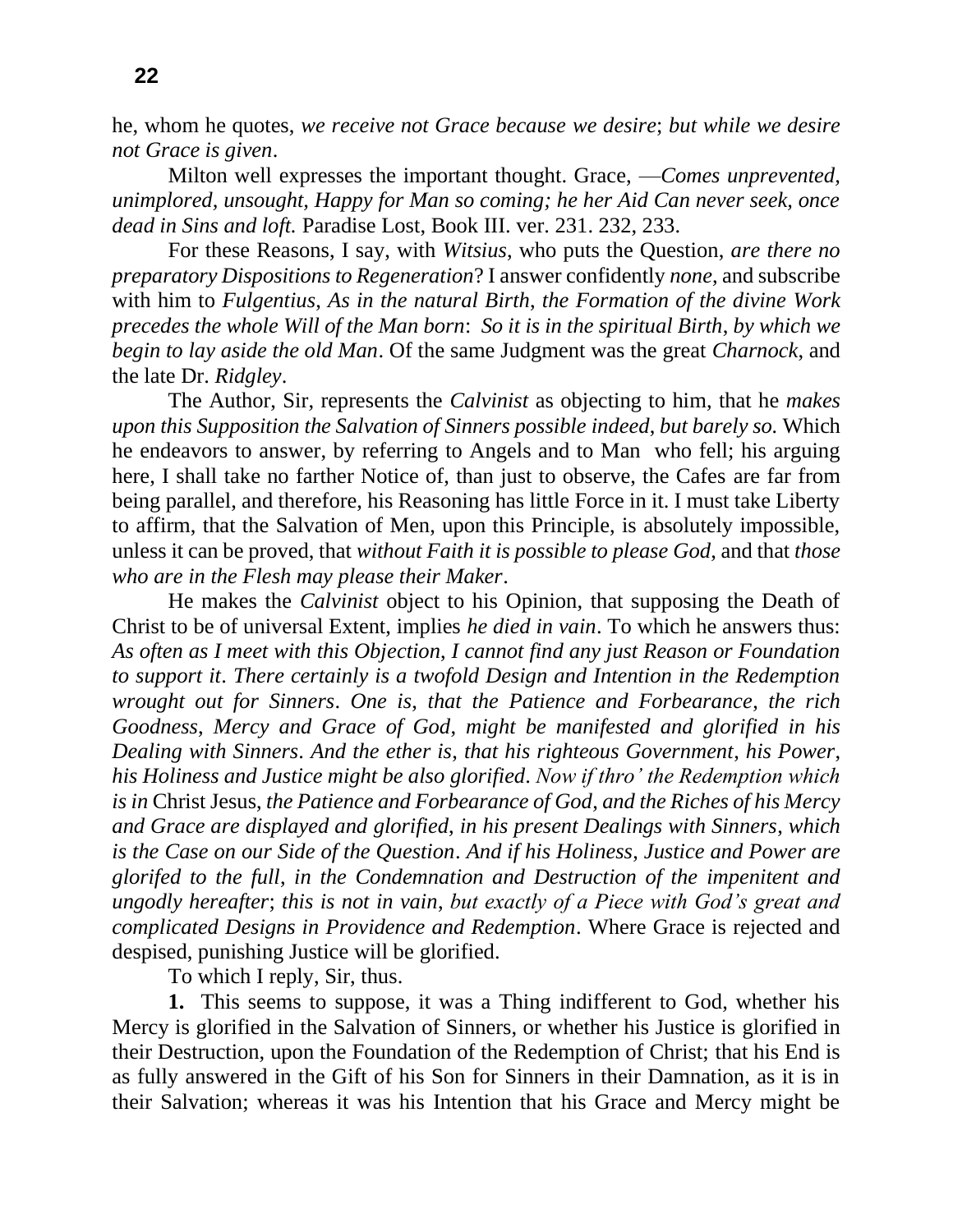he, whom he quotes, *we receive not Grace because we desire*; *but while we desire not Grace is given*.

Milton well expresses the important thought. Grace, —*Comes unprevented, unimplored, unsought, Happy for Man so coming; he her Aid Can never seek, once dead in Sins and loft.* Paradise Lost, Book III. ver. 231. 232, 233.

For these Reasons, I say, with *Witsius*, who puts the Question, *are there no preparatory Dispositions to Regeneration*? I answer confidently *none*, and subscribe with him to *Fulgentius*, *As in the natural Birth*, *the Formation of the divine Work precedes the whole Will of the Man born*: *So it is in the spiritual Birth*, *by which we begin to lay aside the old Man*. Of the same Judgment was the great *Charnock*, and the late Dr. *Ridgley*.

The Author, Sir, represents the *Calvinist* as objecting to him, that he *makes upon this Supposition the Salvation of Sinners possible indeed*, *but barely so.* Which he endeavors to answer, by referring to Angels and to Man who fell; his arguing here, I shall take no farther Notice of, than just to observe, the Cafes are far from being parallel, and therefore, his Reasoning has little Force in it. I must take Liberty to affirm, that the Salvation of Men, upon this Principle, is absolutely impossible, unless it can be proved, that *without Faith it is possible to please God*, and that *those who are in the Flesh may please their Maker*.

He makes the *Calvinist* object to his Opinion, that supposing the Death of Christ to be of universal Extent, implies *he died in vain*. To which he answers thus: *As often as I meet with this Objection*, *I cannot find any just Reason or Foundation to support it*. *There certainly is a twofold Design and Intention in the Redemption wrought out for Sinners*. *One is*, *that the Patience and Forbearance*, *the rich Goodness*, *Mercy and Grace of God*, *might be manifested and glorified in his Dealing with Sinners*. *And the ether is*, *that his righteous Government*, *his Power*, *his Holiness and Justice might be also glorified*. *Now if thro' the Redemption which is in* Christ Jesus, *the Patience and Forbearance of God*, *and the Riches of his Mercy and Grace are displayed and glorified*, *in his present Dealings with Sinners*, *which is the Case on our Side of the Question*. *And if his Holiness*, *Justice and Power are glorifed to the full*, *in the Condemnation and Destruction of the impenitent and ungodly hereafter*; *this is not in vain*, *but exactly of a Piece with God's great and complicated Designs in Providence and Redemption*. Where Grace is rejected and despised, punishing Justice will be glorified.

To which I reply, Sir, thus.

**1.** This seems to suppose, it was a Thing indifferent to God, whether his Mercy is glorified in the Salvation of Sinners, or whether his Justice is glorified in their Destruction, upon the Foundation of the Redemption of Christ; that his End is as fully answered in the Gift of his Son for Sinners in their Damnation, as it is in their Salvation; whereas it was his Intention that his Grace and Mercy might be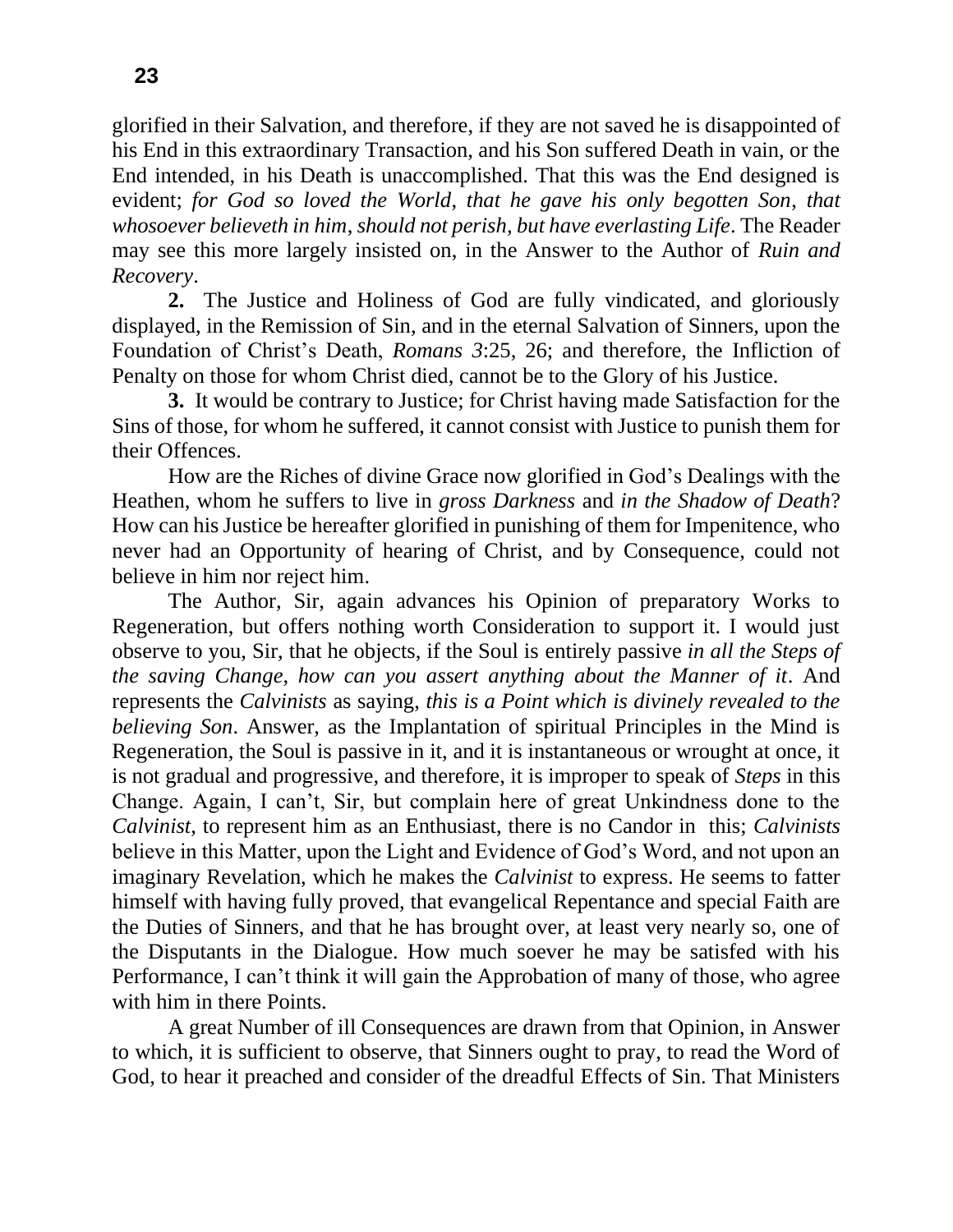glorified in their Salvation, and therefore, if they are not saved he is disappointed of his End in this extraordinary Transaction, and his Son suffered Death in vain, or the End intended, in his Death is unaccomplished. That this was the End designed is evident; *for God so loved the World*, *that he gave his only begotten Son*, *that whosoever believeth in him*, *should not perish*, *but have everlasting Life*. The Reader may see this more largely insisted on, in the Answer to the Author of *Ruin and Recovery*.

**2.** The Justice and Holiness of God are fully vindicated, and gloriously displayed, in the Remission of Sin, and in the eternal Salvation of Sinners, upon the Foundation of Christ's Death, *Romans 3*:25, 26; and therefore, the Infliction of Penalty on those for whom Christ died, cannot be to the Glory of his Justice.

**3.** It would be contrary to Justice; for Christ having made Satisfaction for the Sins of those, for whom he suffered, it cannot consist with Justice to punish them for their Offences.

How are the Riches of divine Grace now glorified in God's Dealings with the Heathen, whom he suffers to live in *gross Darkness* and *in the Shadow of Death*? How can his Justice be hereafter glorified in punishing of them for Impenitence, who never had an Opportunity of hearing of Christ, and by Consequence, could not believe in him nor reject him.

The Author, Sir, again advances his Opinion of preparatory Works to Regeneration, but offers nothing worth Consideration to support it. I would just observe to you, Sir, that he objects, if the Soul is entirely passive *in all the Steps of the saving Change*, *how can you assert anything about the Manner of it*. And represents the *Calvinists* as saying, *this is a Point which is divinely revealed to the believing Son*. Answer, as the Implantation of spiritual Principles in the Mind is Regeneration, the Soul is passive in it, and it is instantaneous or wrought at once, it is not gradual and progressive, and therefore, it is improper to speak of *Steps* in this Change. Again, I can't, Sir, but complain here of great Unkindness done to the *Calvinist*, to represent him as an Enthusiast, there is no Candor in this; *Calvinists*  believe in this Matter, upon the Light and Evidence of God's Word, and not upon an imaginary Revelation, which he makes the *Calvinist* to express. He seems to fatter himself with having fully proved, that evangelical Repentance and special Faith are the Duties of Sinners, and that he has brought over, at least very nearly so, one of the Disputants in the Dialogue. How much soever he may be satisfed with his Performance, I can't think it will gain the Approbation of many of those, who agree with him in there Points.

A great Number of ill Consequences are drawn from that Opinion, in Answer to which, it is sufficient to observe, that Sinners ought to pray, to read the Word of God, to hear it preached and consider of the dreadful Effects of Sin. That Ministers